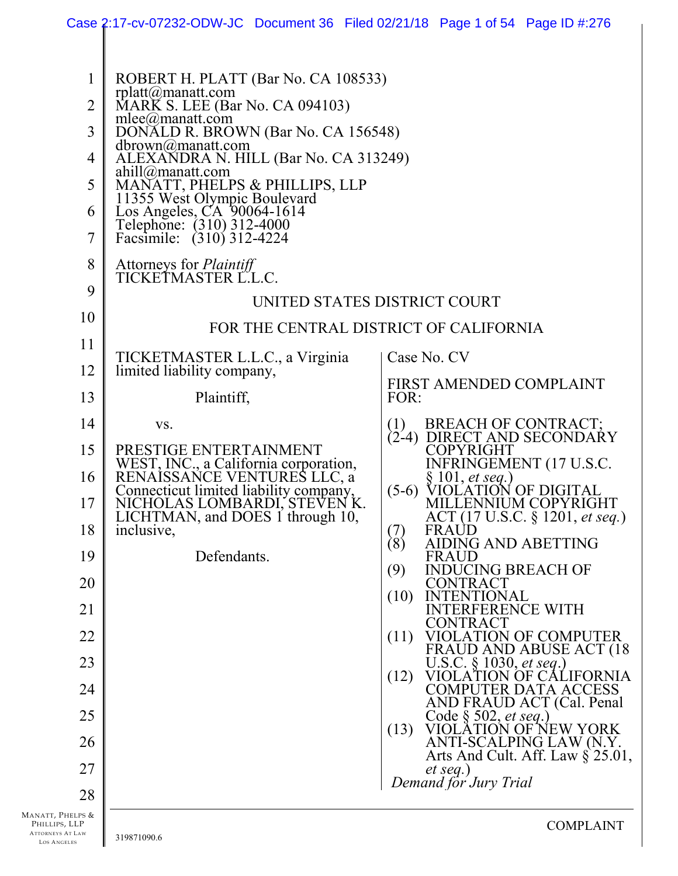|                                                                    | Case 2:17-cv-07232-ODW-JC Document 36 Filed 02/21/18 Page 1 of 54 Page ID #:276                                                                                                                                                                                                                                                                                                                         |                                                                                          |
|--------------------------------------------------------------------|---------------------------------------------------------------------------------------------------------------------------------------------------------------------------------------------------------------------------------------------------------------------------------------------------------------------------------------------------------------------------------------------------------|------------------------------------------------------------------------------------------|
| $\mathbf{1}$<br>$\overline{2}$<br>3<br>4<br>5<br>6<br>7            | ROBERT H. PLATT (Bar No. CA 108533)<br>rplatt@manatt.com<br>MARK S. LEE (Bar No. CA 094103)<br>mlee@manatt.com<br>DONALD R. BROWN (Bar No. CA 156548)<br>$dbrown@$ manatt.com<br>ALEXANDRA N. HILL (Bar No. CA 313249)<br>$ahill@$ manatt.com<br>MANATT, PHELPS & PHILLIPS, LLP<br>11355 West Olympic Boulevard<br>Los Angeles, CA 90064-1614<br>Telephone: (310) 312-4000<br>Facsimile: (310) 312-4224 |                                                                                          |
| 8                                                                  | Attorneys for <i>Plaintiff</i><br>TICKETMASTER L.L.C.                                                                                                                                                                                                                                                                                                                                                   |                                                                                          |
| 9                                                                  |                                                                                                                                                                                                                                                                                                                                                                                                         | UNITED STATES DISTRICT COURT                                                             |
| 10<br>11                                                           |                                                                                                                                                                                                                                                                                                                                                                                                         | FOR THE CENTRAL DISTRICT OF CALIFORNIA                                                   |
| 12                                                                 | TICKETMASTER L.L.C., a Virginia<br>limited liability company,                                                                                                                                                                                                                                                                                                                                           | Case No. CV                                                                              |
| 13                                                                 | Plaintiff,                                                                                                                                                                                                                                                                                                                                                                                              | FIRST AMENDED COMPLAINT<br>FOR:                                                          |
| 14                                                                 | VS.                                                                                                                                                                                                                                                                                                                                                                                                     | (1) BREACH OF CONTRACT;<br>(2-4) DIRECT AND SECONDARY                                    |
| 15                                                                 | PRESTIGE ENTERTAINMENT                                                                                                                                                                                                                                                                                                                                                                                  | COPYRIGHT                                                                                |
| 16                                                                 | WEST, INC., a California corporation,<br>RENAISSANCE VENTURES LLC, a<br>Connecticut limited liability company,                                                                                                                                                                                                                                                                                          | <b>INFRINGEMENT (17 U.S.C.</b><br>$\S 101$ , et seq.)<br>VIOLATION OF DIGITAL<br>$(5-6)$ |
| 17                                                                 | NICHOLAS LOMBARDI, STEVEN K<br>LICHTMAN, and DOES 1 through 10,                                                                                                                                                                                                                                                                                                                                         | MILLENNIUM COPYRIGHT<br>ACT (17 U.S.C. § 1201, et seq.)                                  |
| 18                                                                 | inclusive,                                                                                                                                                                                                                                                                                                                                                                                              | <b>FRAUD</b><br>$\binom{7}{8}$<br>AIDING AND ABETTING                                    |
| 19<br>20                                                           | Defendants.                                                                                                                                                                                                                                                                                                                                                                                             | FRAUD<br><b>INDUCING BREACH OF</b><br>(9)<br>CONTRACT                                    |
| 21                                                                 |                                                                                                                                                                                                                                                                                                                                                                                                         | (10)<br><b>INTENTIONAL</b><br><b>INTERFERENCE WITH</b>                                   |
| 22                                                                 |                                                                                                                                                                                                                                                                                                                                                                                                         | CONTRACT<br>VIOLATION OF COMPUTER<br>(11)                                                |
| 23                                                                 |                                                                                                                                                                                                                                                                                                                                                                                                         | FRAUD AND ABUSE ACT (18<br>U.S.C. § 1030, et seq.)                                       |
| 24                                                                 |                                                                                                                                                                                                                                                                                                                                                                                                         | (12)<br>VIOLATION OF CALIFORNIA<br>COMPUTER DATA ACCESS<br>AND FRAUD ACT (Cal. Penal     |
| 25                                                                 |                                                                                                                                                                                                                                                                                                                                                                                                         | Code $\S 502$ , <i>et seq.</i> )<br>(13)<br>VIOLATION OF NEW YORK                        |
| 26                                                                 |                                                                                                                                                                                                                                                                                                                                                                                                         | ANTI-SCALPING LAW (N.Y.<br>Arts And Cult. Aff. Law $\S 25.01$ ,                          |
| 27                                                                 |                                                                                                                                                                                                                                                                                                                                                                                                         | et seq.)<br>Demand för Jury Trial                                                        |
| 28<br>Manatt, Phelps &<br>Phillips, LLP<br><b>ATTORNEYS AT LAW</b> | 319871090.6                                                                                                                                                                                                                                                                                                                                                                                             | <b>COMPLAINT</b>                                                                         |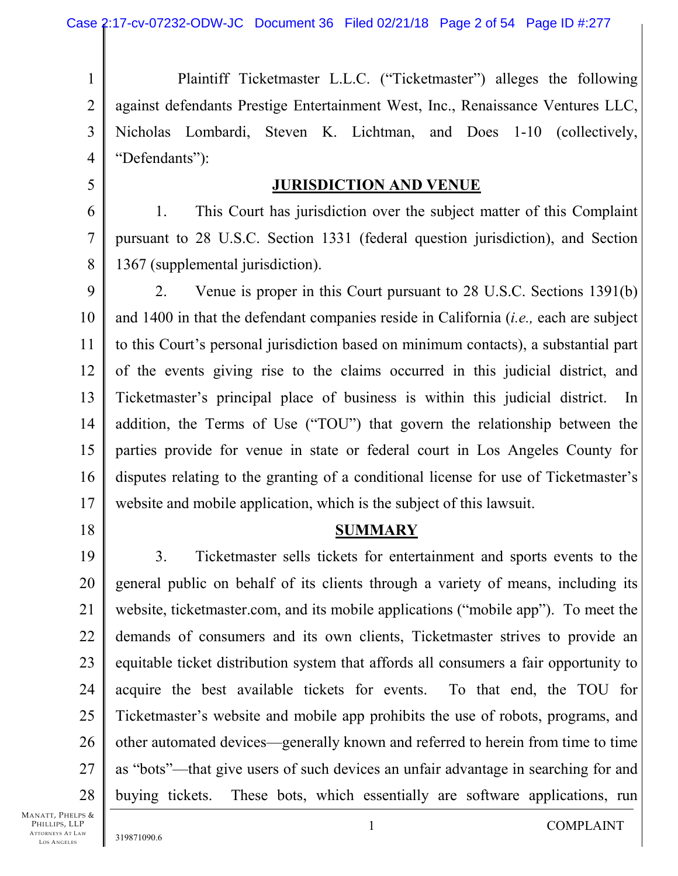1 2 3 4 Plaintiff Ticketmaster L.L.C. ("Ticketmaster") alleges the following against defendants Prestige Entertainment West, Inc., Renaissance Ventures LLC, Nicholas Lombardi, Steven K. Lichtman, and Does 1-10 (collectively, "Defendants"):

5

## **JURISDICTION AND VENUE**

6 7 8 1. This Court has jurisdiction over the subject matter of this Complaint pursuant to 28 U.S.C. Section 1331 (federal question jurisdiction), and Section 1367 (supplemental jurisdiction).

9 10 11 12 13 14 15 16 17 2. Venue is proper in this Court pursuant to 28 U.S.C. Sections 1391(b) and 1400 in that the defendant companies reside in California (*i.e.,* each are subject to this Court's personal jurisdiction based on minimum contacts), a substantial part of the events giving rise to the claims occurred in this judicial district, and Ticketmaster's principal place of business is within this judicial district. In addition, the Terms of Use ("TOU") that govern the relationship between the parties provide for venue in state or federal court in Los Angeles County for disputes relating to the granting of a conditional license for use of Ticketmaster's website and mobile application, which is the subject of this lawsuit.

18

### **SUMMARY**

19 20 21 22 23 24 25 26 27 28 3. Ticketmaster sells tickets for entertainment and sports events to the general public on behalf of its clients through a variety of means, including its website, ticketmaster.com, and its mobile applications ("mobile app"). To meet the demands of consumers and its own clients, Ticketmaster strives to provide an equitable ticket distribution system that affords all consumers a fair opportunity to acquire the best available tickets for events. To that end, the TOU for Ticketmaster's website and mobile app prohibits the use of robots, programs, and other automated devices—generally known and referred to herein from time to time as "bots"—that give users of such devices an unfair advantage in searching for and buying tickets. These bots, which essentially are software applications, run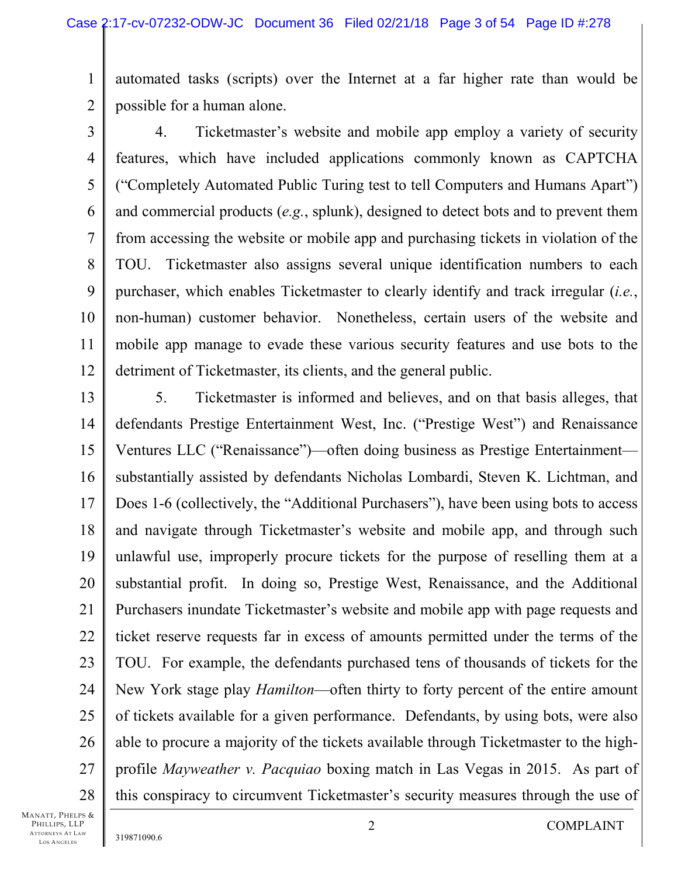1 2 automated tasks (scripts) over the Internet at a far higher rate than would be possible for a human alone.

3 4 5 6 7 8 9 10 11 12 4. Ticketmaster's website and mobile app employ a variety of security features, which have included applications commonly known as CAPTCHA ("Completely Automated Public Turing test to tell Computers and Humans Apart") and commercial products (*e.g.*, splunk), designed to detect bots and to prevent them from accessing the website or mobile app and purchasing tickets in violation of the TOU. Ticketmaster also assigns several unique identification numbers to each purchaser, which enables Ticketmaster to clearly identify and track irregular (*i.e.*, non-human) customer behavior. Nonetheless, certain users of the website and mobile app manage to evade these various security features and use bots to the detriment of Ticketmaster, its clients, and the general public.

13 14 15 16 17 18 19 20 21 22 23 24 25 26 27 28 5. Ticketmaster is informed and believes, and on that basis alleges, that defendants Prestige Entertainment West, Inc. ("Prestige West") and Renaissance Ventures LLC ("Renaissance")—often doing business as Prestige Entertainment substantially assisted by defendants Nicholas Lombardi, Steven K. Lichtman, and Does 1-6 (collectively, the "Additional Purchasers"), have been using bots to access and navigate through Ticketmaster's website and mobile app, and through such unlawful use, improperly procure tickets for the purpose of reselling them at a substantial profit. In doing so, Prestige West, Renaissance, and the Additional Purchasers inundate Ticketmaster's website and mobile app with page requests and ticket reserve requests far in excess of amounts permitted under the terms of the TOU. For example, the defendants purchased tens of thousands of tickets for the New York stage play *Hamilton*—often thirty to forty percent of the entire amount of tickets available for a given performance. Defendants, by using bots, were also able to procure a majority of the tickets available through Ticketmaster to the highprofile *Mayweather v. Pacquiao* boxing match in Las Vegas in 2015. As part of this conspiracy to circumvent Ticketmaster's security measures through the use of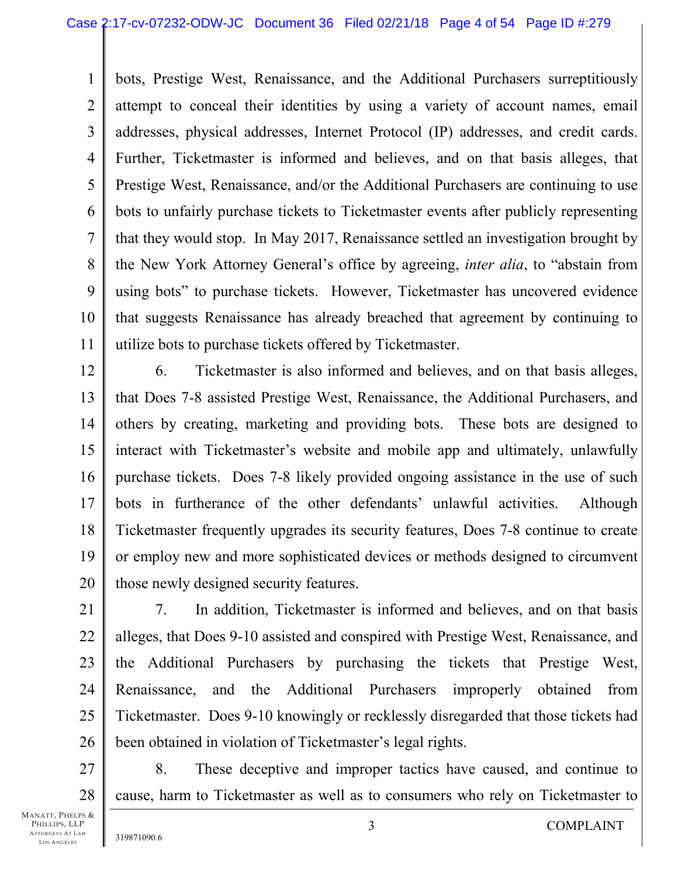1 2 3 4 5 6 7 8 9 10 11 bots, Prestige West, Renaissance, and the Additional Purchasers surreptitiously attempt to conceal their identities by using a variety of account names, email addresses, physical addresses, Internet Protocol (IP) addresses, and credit cards. Further, Ticketmaster is informed and believes, and on that basis alleges, that Prestige West, Renaissance, and/or the Additional Purchasers are continuing to use bots to unfairly purchase tickets to Ticketmaster events after publicly representing that they would stop. In May 2017, Renaissance settled an investigation brought by the New York Attorney General's office by agreeing, *inter alia*, to "abstain from using bots" to purchase tickets. However, Ticketmaster has uncovered evidence that suggests Renaissance has already breached that agreement by continuing to utilize bots to purchase tickets offered by Ticketmaster.

12 13 14 15 16 17 18 19 20 6. Ticketmaster is also informed and believes, and on that basis alleges, that Does 7-8 assisted Prestige West, Renaissance, the Additional Purchasers, and others by creating, marketing and providing bots. These bots are designed to interact with Ticketmaster's website and mobile app and ultimately, unlawfully purchase tickets. Does 7-8 likely provided ongoing assistance in the use of such bots in furtherance of the other defendants' unlawful activities. Although Ticketmaster frequently upgrades its security features, Does 7-8 continue to create or employ new and more sophisticated devices or methods designed to circumvent those newly designed security features.

21 22 23 24 25 26 7. In addition, Ticketmaster is informed and believes, and on that basis alleges, that Does 9-10 assisted and conspired with Prestige West, Renaissance, and the Additional Purchasers by purchasing the tickets that Prestige West, Renaissance, and the Additional Purchasers improperly obtained from Ticketmaster. Does 9-10 knowingly or recklessly disregarded that those tickets had been obtained in violation of Ticketmaster's legal rights.

27 28 8. These deceptive and improper tactics have caused, and continue to cause, harm to Ticketmaster as well as to consumers who rely on Ticketmaster to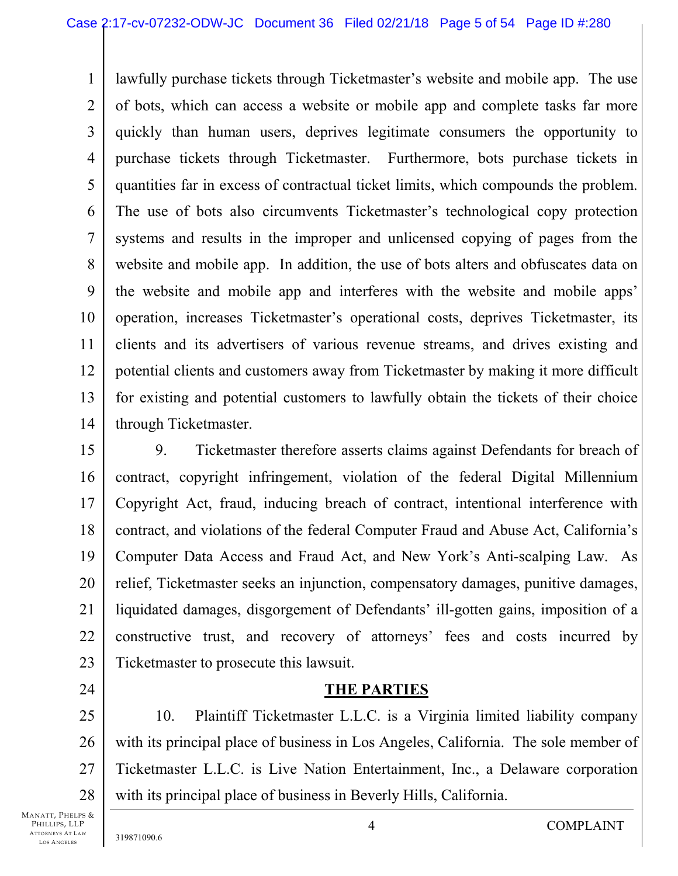1 2 3 4 5 6 7 8 9 10 11 12 13 14 lawfully purchase tickets through Ticketmaster's website and mobile app. The use of bots, which can access a website or mobile app and complete tasks far more quickly than human users, deprives legitimate consumers the opportunity to purchase tickets through Ticketmaster. Furthermore, bots purchase tickets in quantities far in excess of contractual ticket limits, which compounds the problem. The use of bots also circumvents Ticketmaster's technological copy protection systems and results in the improper and unlicensed copying of pages from the website and mobile app. In addition, the use of bots alters and obfuscates data on the website and mobile app and interferes with the website and mobile apps' operation, increases Ticketmaster's operational costs, deprives Ticketmaster, its clients and its advertisers of various revenue streams, and drives existing and potential clients and customers away from Ticketmaster by making it more difficult for existing and potential customers to lawfully obtain the tickets of their choice through Ticketmaster.

15 16 17 18 19 20 21 22 23 9. Ticketmaster therefore asserts claims against Defendants for breach of contract, copyright infringement, violation of the federal Digital Millennium Copyright Act, fraud, inducing breach of contract, intentional interference with contract, and violations of the federal Computer Fraud and Abuse Act, California's Computer Data Access and Fraud Act, and New York's Anti-scalping Law. As relief, Ticketmaster seeks an injunction, compensatory damages, punitive damages, liquidated damages, disgorgement of Defendants' ill-gotten gains, imposition of a constructive trust, and recovery of attorneys' fees and costs incurred by Ticketmaster to prosecute this lawsuit.

## **THE PARTIES**

25 26 27 28 10. Plaintiff Ticketmaster L.L.C. is a Virginia limited liability company with its principal place of business in Los Angeles, California. The sole member of Ticketmaster L.L.C. is Live Nation Entertainment, Inc., a Delaware corporation with its principal place of business in Beverly Hills, California.

MANATT, PHELPS & PHILLIPS, LLP ATTORNEYS AT LAW LOS A NGELES

24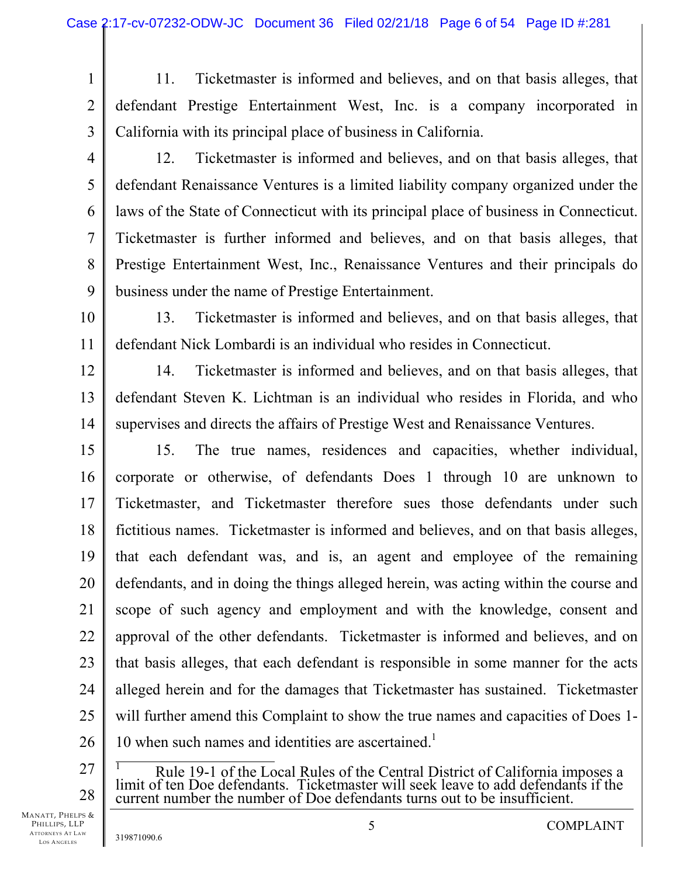- 1 2 3 11. Ticketmaster is informed and believes, and on that basis alleges, that defendant Prestige Entertainment West, Inc. is a company incorporated in California with its principal place of business in California.
- 4

5

6

7

8

9

10

11

12. Ticketmaster is informed and believes, and on that basis alleges, that defendant Renaissance Ventures is a limited liability company organized under the laws of the State of Connecticut with its principal place of business in Connecticut. Ticketmaster is further informed and believes, and on that basis alleges, that Prestige Entertainment West, Inc., Renaissance Ventures and their principals do business under the name of Prestige Entertainment.

13. Ticketmaster is informed and believes, and on that basis alleges, that defendant Nick Lombardi is an individual who resides in Connecticut.

12 13 14 14. Ticketmaster is informed and believes, and on that basis alleges, that defendant Steven K. Lichtman is an individual who resides in Florida, and who supervises and directs the affairs of Prestige West and Renaissance Ventures.

15 16 17 18 19 20 21 22 23 24 25 26 15. The true names, residences and capacities, whether individual, corporate or otherwise, of defendants Does 1 through 10 are unknown to Ticketmaster, and Ticketmaster therefore sues those defendants under such fictitious names. Ticketmaster is informed and believes, and on that basis alleges, that each defendant was, and is, an agent and employee of the remaining defendants, and in doing the things alleged herein, was acting within the course and scope of such agency and employment and with the knowledge, consent and approval of the other defendants. Ticketmaster is informed and believes, and on that basis alleges, that each defendant is responsible in some manner for the acts alleged herein and for the damages that Ticketmaster has sustained. Ticketmaster will further amend this Complaint to show the true names and capacities of Does 1-10 when such names and identities are ascertained.<sup>1</sup>

27 28

 1 Rule 19-1 of the Local Rules of the Central District of California imposes a limit of ten Doe defendants. Ticketmaster will seek leave to add defendants if the current number the number of Doe defendants turns out to be insufficient.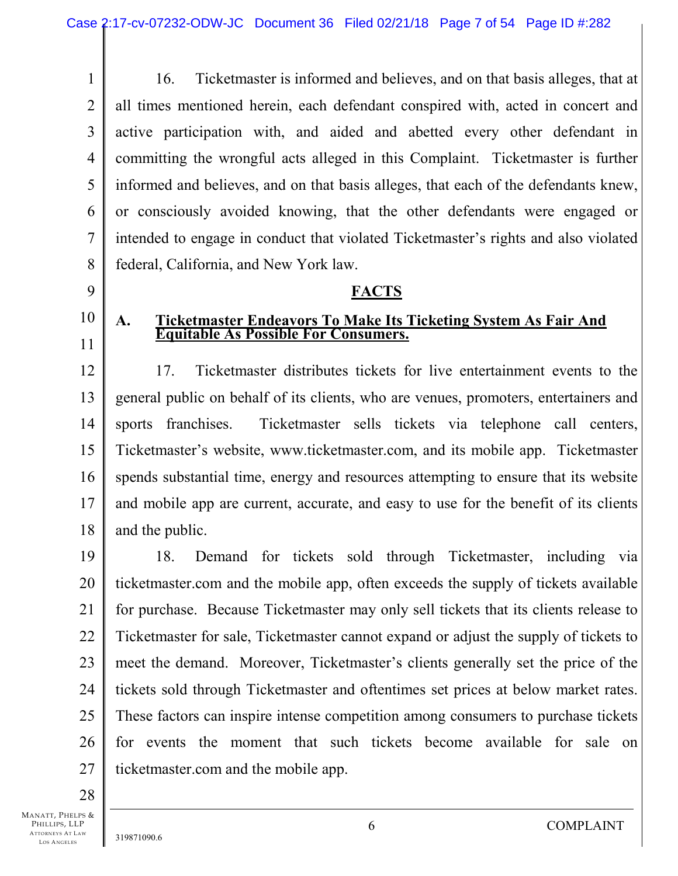1 2 3 4 5 6 7 8 16. Ticketmaster is informed and believes, and on that basis alleges, that at all times mentioned herein, each defendant conspired with, acted in concert and active participation with, and aided and abetted every other defendant in committing the wrongful acts alleged in this Complaint. Ticketmaster is further informed and believes, and on that basis alleges, that each of the defendants knew, or consciously avoided knowing, that the other defendants were engaged or intended to engage in conduct that violated Ticketmaster's rights and also violated federal, California, and New York law.

**FACTS** 

**A. Ticketmaster Endeavors To Make Its Ticketing System As Fair And Equitable As Possible For Consumers.** 

# 9

- 10 11
- - 12
	- 13 14 15 16 17 18 17. Ticketmaster distributes tickets for live entertainment events to the general public on behalf of its clients, who are venues, promoters, entertainers and sports franchises. Ticketmaster sells tickets via telephone call centers, Ticketmaster's website, www.ticketmaster.com, and its mobile app. Ticketmaster spends substantial time, energy and resources attempting to ensure that its website and mobile app are current, accurate, and easy to use for the benefit of its clients and the public.

19 20 21 22 23 24 25 26 27 18. Demand for tickets sold through Ticketmaster, including via ticketmaster.com and the mobile app, often exceeds the supply of tickets available for purchase. Because Ticketmaster may only sell tickets that its clients release to Ticketmaster for sale, Ticketmaster cannot expand or adjust the supply of tickets to meet the demand. Moreover, Ticketmaster's clients generally set the price of the tickets sold through Ticketmaster and oftentimes set prices at below market rates. These factors can inspire intense competition among consumers to purchase tickets for events the moment that such tickets become available for sale on ticketmaster.com and the mobile app.

28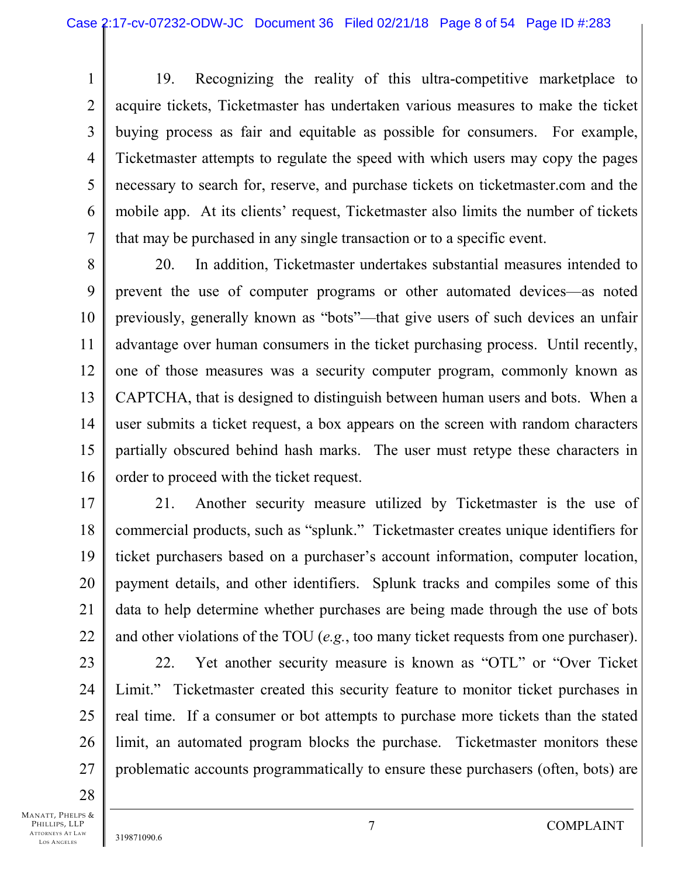1 2 3 4 5 6 7 19. Recognizing the reality of this ultra-competitive marketplace to acquire tickets, Ticketmaster has undertaken various measures to make the ticket buying process as fair and equitable as possible for consumers. For example, Ticketmaster attempts to regulate the speed with which users may copy the pages necessary to search for, reserve, and purchase tickets on ticketmaster.com and the mobile app. At its clients' request, Ticketmaster also limits the number of tickets that may be purchased in any single transaction or to a specific event.

8 9 10 11 12 13 14 15 16 20. In addition, Ticketmaster undertakes substantial measures intended to prevent the use of computer programs or other automated devices—as noted previously, generally known as "bots"—that give users of such devices an unfair advantage over human consumers in the ticket purchasing process. Until recently, one of those measures was a security computer program, commonly known as CAPTCHA, that is designed to distinguish between human users and bots. When a user submits a ticket request, a box appears on the screen with random characters partially obscured behind hash marks. The user must retype these characters in order to proceed with the ticket request.

17 18 19 20 21 22 21. Another security measure utilized by Ticketmaster is the use of commercial products, such as "splunk." Ticketmaster creates unique identifiers for ticket purchasers based on a purchaser's account information, computer location, payment details, and other identifiers. Splunk tracks and compiles some of this data to help determine whether purchases are being made through the use of bots and other violations of the TOU (*e.g.*, too many ticket requests from one purchaser).

23 24 25 26 27 22. Yet another security measure is known as "OTL" or "Over Ticket Limit." Ticketmaster created this security feature to monitor ticket purchases in real time. If a consumer or bot attempts to purchase more tickets than the stated limit, an automated program blocks the purchase. Ticketmaster monitors these problematic accounts programmatically to ensure these purchasers (often, bots) are

28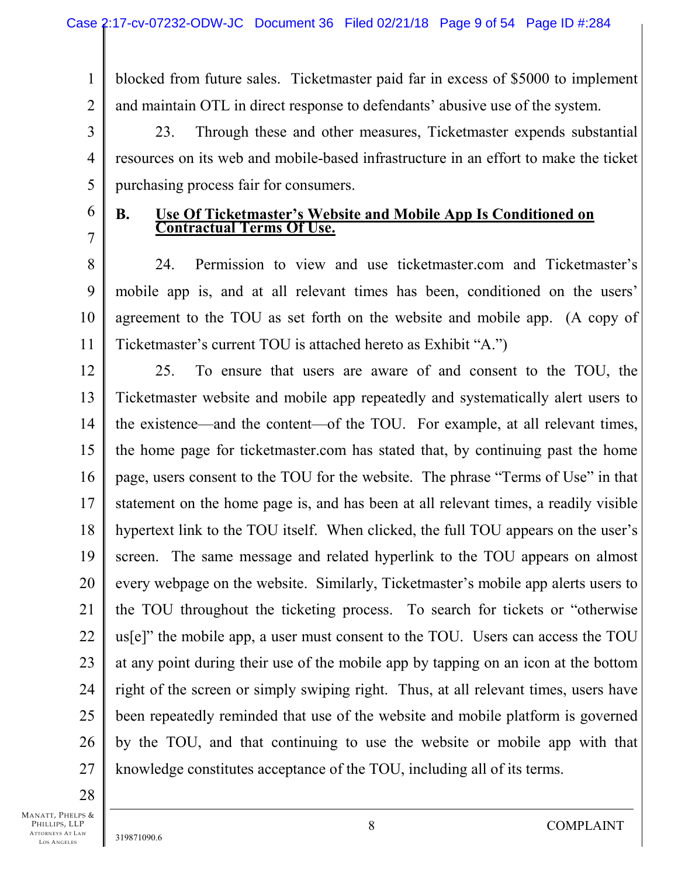1 2 blocked from future sales. Ticketmaster paid far in excess of \$5000 to implement and maintain OTL in direct response to defendants' abusive use of the system.

3 4 5 23. Through these and other measures, Ticketmaster expends substantial resources on its web and mobile-based infrastructure in an effort to make the ticket purchasing process fair for consumers.

6 7

# **B. Use Of Ticketmaster's Website and Mobile App Is Conditioned on Contractual Terms Of Use.**

8 9 10 11 24. Permission to view and use ticketmaster.com and Ticketmaster's mobile app is, and at all relevant times has been, conditioned on the users' agreement to the TOU as set forth on the website and mobile app. (A copy of Ticketmaster's current TOU is attached hereto as Exhibit "A.")

12 13 14 15 16 17 18 19 20 21 22 23 24 25 26 27 25. To ensure that users are aware of and consent to the TOU, the Ticketmaster website and mobile app repeatedly and systematically alert users to the existence—and the content—of the TOU. For example, at all relevant times, the home page for ticketmaster.com has stated that, by continuing past the home page, users consent to the TOU for the website. The phrase "Terms of Use" in that statement on the home page is, and has been at all relevant times, a readily visible hypertext link to the TOU itself. When clicked, the full TOU appears on the user's screen. The same message and related hyperlink to the TOU appears on almost every webpage on the website. Similarly, Ticketmaster's mobile app alerts users to the TOU throughout the ticketing process. To search for tickets or "otherwise us[e]" the mobile app, a user must consent to the TOU. Users can access the TOU at any point during their use of the mobile app by tapping on an icon at the bottom right of the screen or simply swiping right. Thus, at all relevant times, users have been repeatedly reminded that use of the website and mobile platform is governed by the TOU, and that continuing to use the website or mobile app with that knowledge constitutes acceptance of the TOU, including all of its terms.

28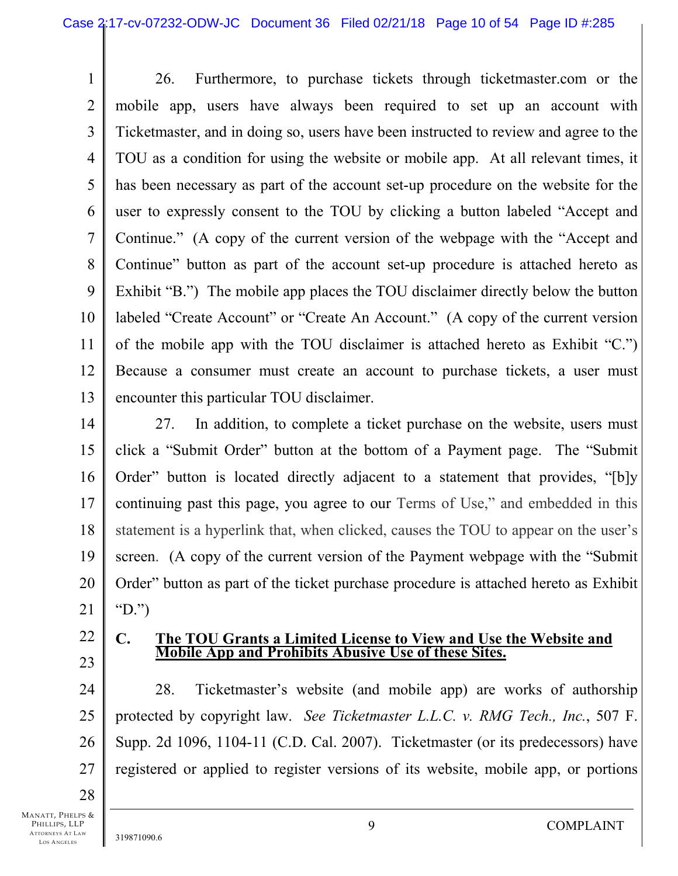1 2 3 4 5 6 7 8 9 10 11 12 13 26. Furthermore, to purchase tickets through ticketmaster.com or the mobile app, users have always been required to set up an account with Ticketmaster, and in doing so, users have been instructed to review and agree to the TOU as a condition for using the website or mobile app. At all relevant times, it has been necessary as part of the account set-up procedure on the website for the user to expressly consent to the TOU by clicking a button labeled "Accept and Continue." (A copy of the current version of the webpage with the "Accept and Continue" button as part of the account set-up procedure is attached hereto as Exhibit "B.") The mobile app places the TOU disclaimer directly below the button labeled "Create Account" or "Create An Account." (A copy of the current version of the mobile app with the TOU disclaimer is attached hereto as Exhibit "C.") Because a consumer must create an account to purchase tickets, a user must encounter this particular TOU disclaimer.

14 15 16 17 18 19 20 21 27. In addition, to complete a ticket purchase on the website, users must click a "Submit Order" button at the bottom of a Payment page. The "Submit Order" button is located directly adjacent to a statement that provides, "[b]y continuing past this page, you agree to our Terms of Use," and embedded in this statement is a hyperlink that, when clicked, causes the TOU to appear on the user's screen. (A copy of the current version of the Payment webpage with the "Submit Order" button as part of the ticket purchase procedure is attached hereto as Exhibit "D.")

- 22
- 23

### **C. The TOU Grants a Limited License to View and Use the Website and Mobile App and Prohibits Abusive Use of these Sites.**

24 25 26 27 28. Ticketmaster's website (and mobile app) are works of authorship protected by copyright law. *See Ticketmaster L.L.C. v. RMG Tech., Inc.*, 507 F. Supp. 2d 1096, 1104-11 (C.D. Cal. 2007). Ticketmaster (or its predecessors) have registered or applied to register versions of its website, mobile app, or portions

28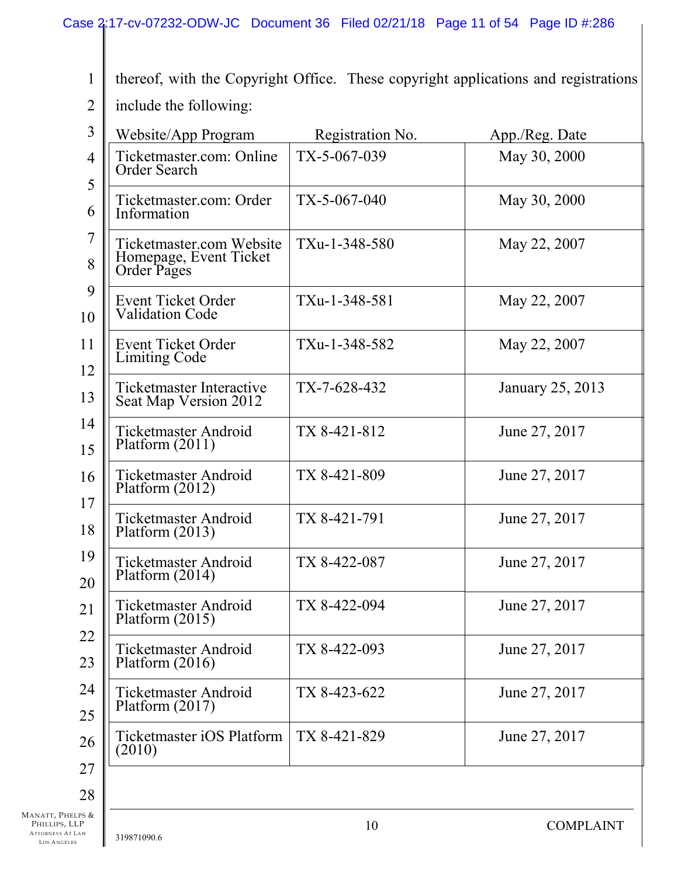thereof, with the Copyright Office. These copyright applications and registrations

2 include the following:

1

| Website/App Program                                               | Registration No. | App./Reg. Date   |  |
|-------------------------------------------------------------------|------------------|------------------|--|
| Ticketmaster.com: Online<br>Order Search                          | TX-5-067-039     | May 30, 2000     |  |
| Ticketmaster.com: Order<br>Information                            | $TX-5-067-040$   | May 30, 2000     |  |
| Ticketmaster.com Website<br>Homepage, Event Ticket<br>Order Pages | TXu-1-348-580    | May 22, 2007     |  |
| <b>Event Ticket Order</b><br><b>Validation Code</b>               | TXu-1-348-581    | May 22, 2007     |  |
| Event Ticket Order<br><b>Limiting Code</b>                        | TXu-1-348-582    | May 22, 2007     |  |
| <b>Ticketmaster Interactive</b><br>Seat Map Version 2012          | $TX-7-628-432$   | January 25, 2013 |  |
| <b>Ticketmaster Android</b><br>Platform $(2011)$                  | TX 8-421-812     | June 27, 2017    |  |
| <b>Ticketmaster Android</b><br>Platform $(2012)$                  | TX 8-421-809     | June 27, 2017    |  |
| <b>Ticketmaster Android</b><br>Platform $(2013)$                  | TX 8-421-791     | June 27, 2017    |  |
| <b>Ticketmaster Android</b><br>Platform $(2014)$                  | TX 8-422-087     | June 27, 2017    |  |
| Ticketmaster Android<br>Platform $(2015)$                         | TX 8-422-094     | June 27, 2017    |  |
| <b>Ticketmaster Android</b><br>Platform $(2016)$                  | TX 8-422-093     | June 27, 2017    |  |
| <b>Ticketmaster Android</b><br>Platform $(2017)$                  | TX 8-423-622     | June 27, 2017    |  |
| Ticketmaster iOS Platform<br>(2010)                               | TX 8-421-829     | June 27, 2017    |  |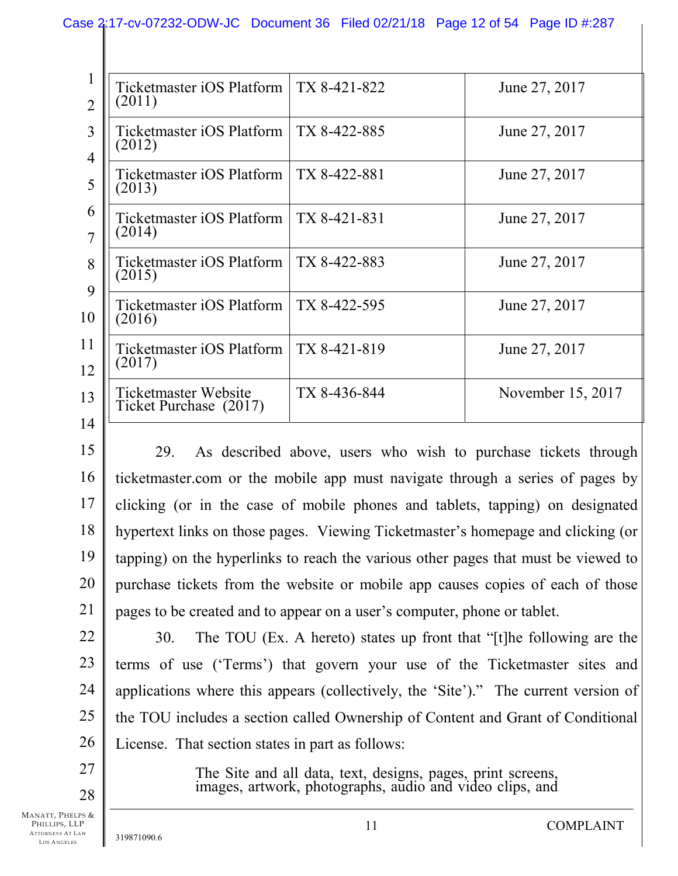### Case 2:17-cv-07232-ODW-JC Document 36 Filed 02/21/18 Page 12 of 54 Page ID #:287

| $\mathbf{I}$<br>$\overline{2}$ | Ticketmaster iOS Platform<br>(2011)            | TX 8-421-822 | June 27, 2017     |
|--------------------------------|------------------------------------------------|--------------|-------------------|
| 3<br>$\overline{4}$            | Ticketmaster iOS Platform  <br>(2012)          | TX 8-422-885 | June 27, 2017     |
| 5                              | Ticketmaster iOS Platform<br>(2013)            | TX 8-422-881 | June 27, 2017     |
| 6<br>7                         | Ticketmaster iOS Platform  <br>(2014)          | TX 8-421-831 | June 27, 2017     |
| 8<br>9                         | Ticketmaster iOS Platform<br>(2015)            | TX 8-422-883 | June 27, 2017     |
| 10                             | Ticketmaster iOS Platform  <br>(2016)          | TX 8-422-595 | June 27, 2017     |
| 11<br>12                       | Ticketmaster iOS Platform<br>(2017)            | TX 8-421-819 | June 27, 2017     |
| 13                             | Ticketmaster Website<br>Ticket Purchase (2017) | TX 8-436-844 | November 15, 2017 |
| 14                             |                                                |              |                   |

15 16 17 18 19 20 21 29. As described above, users who wish to purchase tickets through ticketmaster.com or the mobile app must navigate through a series of pages by clicking (or in the case of mobile phones and tablets, tapping) on designated hypertext links on those pages. Viewing Ticketmaster's homepage and clicking (or tapping) on the hyperlinks to reach the various other pages that must be viewed to purchase tickets from the website or mobile app causes copies of each of those pages to be created and to appear on a user's computer, phone or tablet.

22 23 24 25 26 30. The TOU (Ex. A hereto) states up front that "[t]he following are the terms of use ('Terms') that govern your use of the Ticketmaster sites and applications where this appears (collectively, the 'Site')." The current version of the TOU includes a section called Ownership of Content and Grant of Conditional License. That section states in part as follows:

> The Site and all data, text, designs, pages, print screens, images, artwork, photographs, audio and video clips, and

MANATT, PHELPS & PHILLIPS, LLP ATTORNEYS AT LAW LOS A NGELES

27

28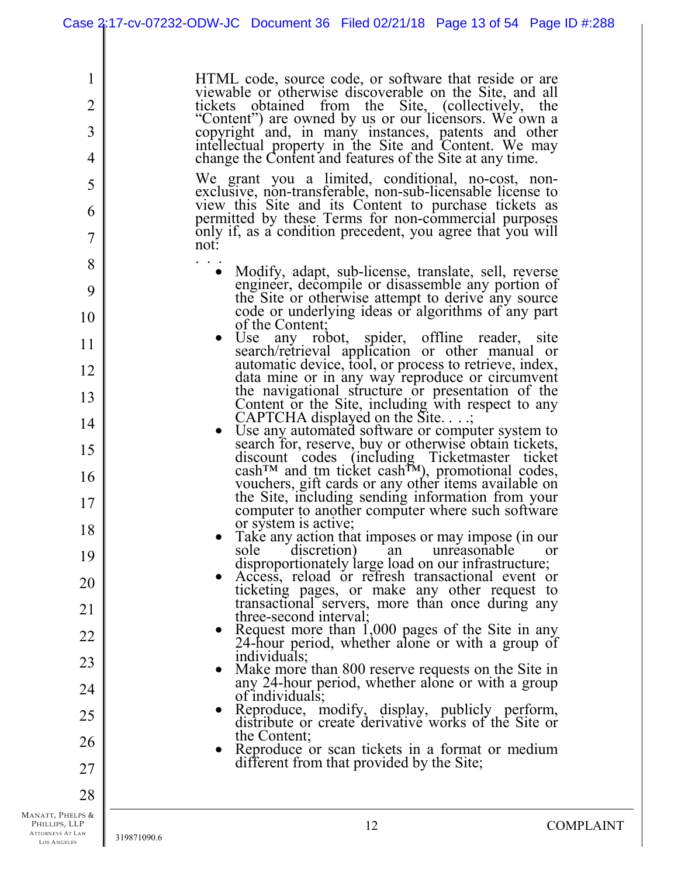HTML code, source code, or software that reside or are viewable or otherwise discoverable on the Site, and all tickets obtained from the Site, (collectively, the "Content") are owned by us or our licensors. We own a copyright and, in many instances, patents and other intellectual property in the Site and Content. We may change the Content and features of the Site at any time.

We grant you a limited, conditional, no-cost, nonexclusive, non-transferable, non-sub-licensable license to view this Site and its Content to purchase tickets as permitted by these Terms for non-commercial purposes only if, as a condition precedent, you agree that you will

- not:<br>
Modify, adapt, sub-license, translate, sell, reverse engineer, decompile or disassemble any portion of the Site or otherwise attempt to derive any source code or underlying ideas or algorithms of any part of the Content;
	- Use any robot, spider, offline reader, site search/retrieval application or other manual or automatic device, tool, or process to retrieve, index, data mine or in any way reproduce or circumvent the navigational structure or presentation of the Content or the Site, including with respect to any CAPTCHA displayed on the Site. . . .;
	- Use any automated software or computer system to search for, reserve, buy or otherwise obtain tickets, discount codes (including Ticketmaster ticket  $\text{cash}^{\text{m}}$  and tm ticket cash<sup>TM</sup>), promotional codes, vouchers, gift cards or any other items available on the Site, including sending information from your computer to another computer where such software or system is active;
	- Take any action that imposes or may impose (in our sole discretion) an unreasonable disproportionately large load on our infrastructure;
	- Access, reload or refresh transactional event or ticketing pages, or make any other request to transactional servers, more than once during any three-second interval;
	- Request more than  $1,000$  pages of the Site in any 24-hour period, whether alone or with a group of individuals;
	- Make more than 800 reserve requests on the Site in any 24-hour period, whether alone or with a group of individuals;
	- Reproduce, modify, display, publicly perform, distribute or create derivative works of the Site or the Content;
	- Reproduce or scan tickets in a format or medium different from that provided by the Site;

MANATT, PHELPS & PHILLIPS, LLP ATTORNEYS AT LAW LOS A NGELES

1

2

3

4

5

6

7

8

9

10

11

12

13

14

15

16

17

18

19

20

21

22

23

24

25

26

27

28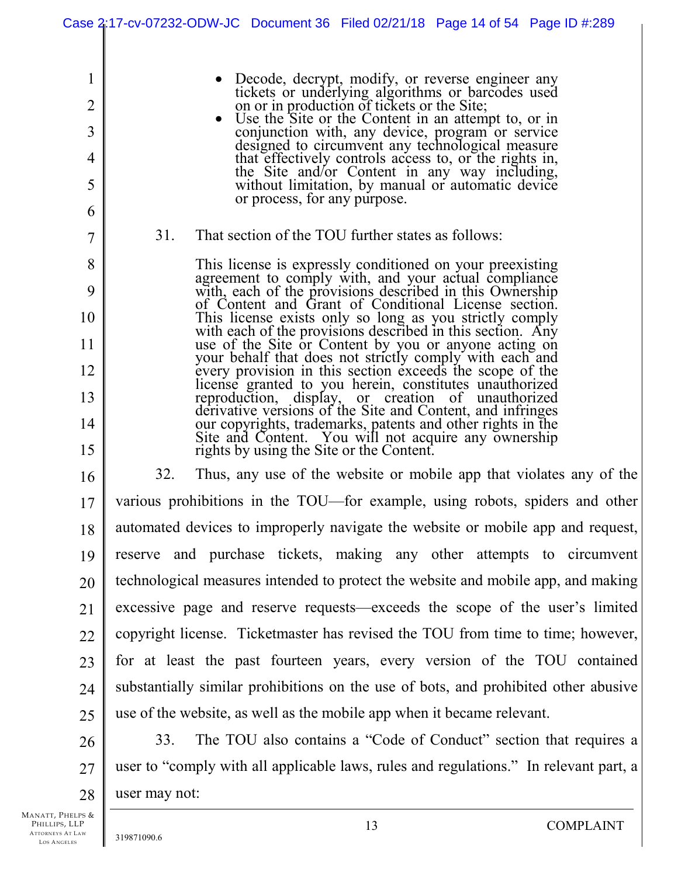|                | Case 2:17-cv-07232-ODW-JC Document 36 Filed 02/21/18 Page 14 of 54 Page ID #:289                                      |
|----------------|-----------------------------------------------------------------------------------------------------------------------|
|                |                                                                                                                       |
| 1              | Decode, decrypt, modify, or reverse engineer any                                                                      |
| $\overline{2}$ | tickets or underlying algorithms or barcodes used<br>on or in production of tickets or the Site;                      |
| 3              | Use the Site or the Content in an attempt to, or in<br>conjunction with, any device, program or service               |
| 4              | designed to circumvent any technological measure<br>that effectively controls access to, or the rights in,            |
| 5              | the Site and/or Content in any way including,<br>without limitation, by manual or automatic device                    |
| 6              | or process, for any purpose.                                                                                          |
| 7              | That section of the TOU further states as follows:<br>31.                                                             |
| 8              | This license is expressly conditioned on your preexisting<br>agreement to comply with, and your actual compliance     |
| 9              | with, each of the provisions described in this Ownership<br>of Content and Grant of Conditional License section.      |
| 10             | This license exists only so long as you strictly comply<br>with each of the provisions described in this section. Any |
| 11             | use of the Site or Content by you or anyone acting on<br>your behalf that does not strictly comply with each and      |
| 12             | every provision in this section exceeds the scope of the<br>license granted to you herein, constitutes unauthorized   |
| 13             | reproduction, display, or creation of unauthorized<br>derivative versions of the Site and Content, and infringes      |
| 14             | our copyrights, trademarks, patents and other rights in the<br>Site and Content. You will not acquire any ownership   |
| 15             | rights by using the Site or the Content.                                                                              |
| 16             | 32.<br>Thus, any use of the website or mobile app that violates any of the                                            |
| 17             | various prohibitions in the TOU—for example, using robots, spiders and other                                          |
| 18             | automated devices to improperly navigate the website or mobile app and request,                                       |
| 19             | reserve and purchase tickets, making any other attempts to circumvent                                                 |
| 20             | technological measures intended to protect the website and mobile app, and making                                     |
| 21             | excessive page and reserve requests—exceeds the scope of the user's limited                                           |
| 22             | copyright license. Ticketmaster has revised the TOU from time to time; however,                                       |
| 23             | for at least the past fourteen years, every version of the TOU contained                                              |
| 24             | substantially similar prohibitions on the use of bots, and prohibited other abusive                                   |
| 25             | use of the website, as well as the mobile app when it became relevant.                                                |
| 26             | The TOU also contains a "Code of Conduct" section that requires a<br>33.                                              |
| 27             | user to "comply with all applicable laws, rules and regulations." In relevant part, a                                 |
| 28             | user may not:                                                                                                         |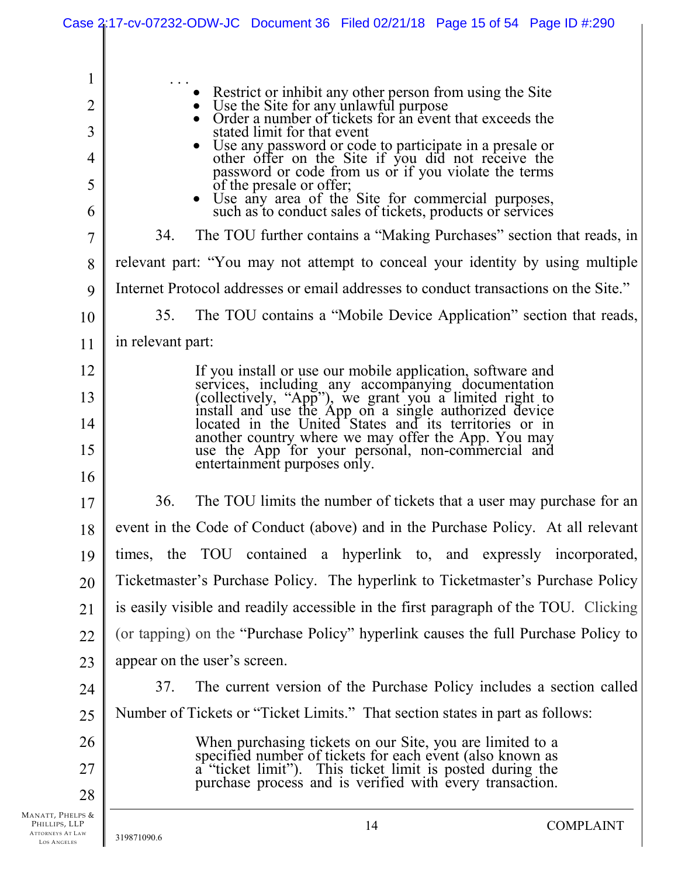|                                                                                                    | Case 2:17-cv-07232-ODW-JC Document 36 Filed 02/21/18 Page 15 of 54 Page ID #:290                                                                                                                                                                                                                                                                                                                                                                                                                                                                                                                                                                                                                                                                                                                                                                                             |  |  |  |  |  |
|----------------------------------------------------------------------------------------------------|------------------------------------------------------------------------------------------------------------------------------------------------------------------------------------------------------------------------------------------------------------------------------------------------------------------------------------------------------------------------------------------------------------------------------------------------------------------------------------------------------------------------------------------------------------------------------------------------------------------------------------------------------------------------------------------------------------------------------------------------------------------------------------------------------------------------------------------------------------------------------|--|--|--|--|--|
| 1<br>$\overline{2}$<br>3<br>$\overline{4}$<br>5<br>6<br>$\overline{7}$<br>8<br>9<br>10<br>11<br>12 | Restrict or inhibit any other person from using the Site<br>Use the Site for any unlawful purpose<br>Order a number of tickets for an event that exceeds the<br>stated limit for that event<br>Use any password or code to participate in a presale or<br>other offer on the Site if you did not receive the<br>password or code from us or if you violate the terms<br>of the presale or offer;<br>• Use any area of the Site for commercial purposes, such as to conduct sales of tickets, products or services<br>The TOU further contains a "Making Purchases" section that reads, in<br>34.<br>relevant part: "You may not attempt to conceal your identity by using multiple<br>Internet Protocol addresses or email addresses to conduct transactions on the Site."<br>The TOU contains a "Mobile Device Application" section that reads,<br>35.<br>in relevant part: |  |  |  |  |  |
| 13                                                                                                 | If you install or use our mobile application, software and<br>services, including any accompanying documentation<br>(collectively, "App"), we grant you a limited right to<br>install and use the App on a single authorized device<br>loc                                                                                                                                                                                                                                                                                                                                                                                                                                                                                                                                                                                                                                   |  |  |  |  |  |
| 14                                                                                                 |                                                                                                                                                                                                                                                                                                                                                                                                                                                                                                                                                                                                                                                                                                                                                                                                                                                                              |  |  |  |  |  |
| 15                                                                                                 | another country where we may offer the App. You may<br>use the App for your personal, non-commercial and<br>entertainment purposes only.                                                                                                                                                                                                                                                                                                                                                                                                                                                                                                                                                                                                                                                                                                                                     |  |  |  |  |  |
| 16                                                                                                 |                                                                                                                                                                                                                                                                                                                                                                                                                                                                                                                                                                                                                                                                                                                                                                                                                                                                              |  |  |  |  |  |
| 17                                                                                                 | 36.<br>The TOU limits the number of tickets that a user may purchase for an                                                                                                                                                                                                                                                                                                                                                                                                                                                                                                                                                                                                                                                                                                                                                                                                  |  |  |  |  |  |
| 18                                                                                                 | event in the Code of Conduct (above) and in the Purchase Policy. At all relevant                                                                                                                                                                                                                                                                                                                                                                                                                                                                                                                                                                                                                                                                                                                                                                                             |  |  |  |  |  |
| 19                                                                                                 | times, the TOU contained a hyperlink to, and expressly incorporated,                                                                                                                                                                                                                                                                                                                                                                                                                                                                                                                                                                                                                                                                                                                                                                                                         |  |  |  |  |  |
| 20                                                                                                 | Ticketmaster's Purchase Policy. The hyperlink to Ticketmaster's Purchase Policy                                                                                                                                                                                                                                                                                                                                                                                                                                                                                                                                                                                                                                                                                                                                                                                              |  |  |  |  |  |
| 21                                                                                                 | is easily visible and readily accessible in the first paragraph of the TOU. Clicking                                                                                                                                                                                                                                                                                                                                                                                                                                                                                                                                                                                                                                                                                                                                                                                         |  |  |  |  |  |
| 22                                                                                                 | (or tapping) on the "Purchase Policy" hyperlink causes the full Purchase Policy to                                                                                                                                                                                                                                                                                                                                                                                                                                                                                                                                                                                                                                                                                                                                                                                           |  |  |  |  |  |
| 23                                                                                                 | appear on the user's screen.                                                                                                                                                                                                                                                                                                                                                                                                                                                                                                                                                                                                                                                                                                                                                                                                                                                 |  |  |  |  |  |
| 24                                                                                                 | The current version of the Purchase Policy includes a section called<br>37.                                                                                                                                                                                                                                                                                                                                                                                                                                                                                                                                                                                                                                                                                                                                                                                                  |  |  |  |  |  |
| 25                                                                                                 | Number of Tickets or "Ticket Limits." That section states in part as follows:                                                                                                                                                                                                                                                                                                                                                                                                                                                                                                                                                                                                                                                                                                                                                                                                |  |  |  |  |  |
| 26                                                                                                 |                                                                                                                                                                                                                                                                                                                                                                                                                                                                                                                                                                                                                                                                                                                                                                                                                                                                              |  |  |  |  |  |
| 27                                                                                                 | When purchasing tickets on our Site, you are limited to a specified number of tickets for each event (also known as a "ticket limit"). This ticket limit is posted during the purchase process and is verified with every tran                                                                                                                                                                                                                                                                                                                                                                                                                                                                                                                                                                                                                                               |  |  |  |  |  |
| 28                                                                                                 |                                                                                                                                                                                                                                                                                                                                                                                                                                                                                                                                                                                                                                                                                                                                                                                                                                                                              |  |  |  |  |  |
| Manatt, Phelps &<br>PHILLIPS, LLP<br><b>ATTORNEYS AT LAW</b><br>LOS ANGELES                        | 14<br><b>COMPLAINT</b><br>319871090.6                                                                                                                                                                                                                                                                                                                                                                                                                                                                                                                                                                                                                                                                                                                                                                                                                                        |  |  |  |  |  |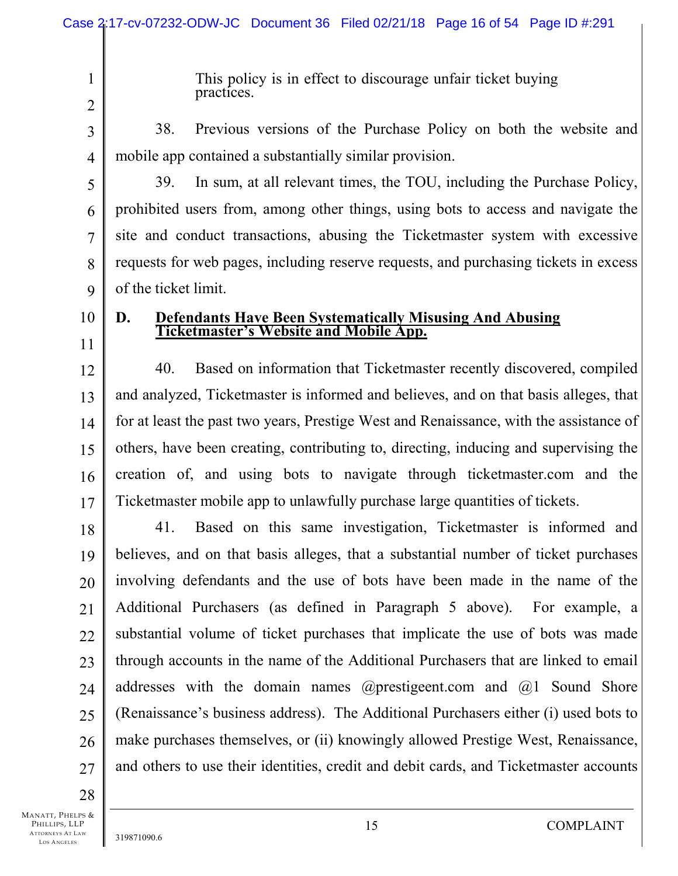This policy is in effect to discourage unfair ticket buying practices.

2 3

4

1

38. Previous versions of the Purchase Policy on both the website and mobile app contained a substantially similar provision.

5 6 7 8 9 39. In sum, at all relevant times, the TOU, including the Purchase Policy, prohibited users from, among other things, using bots to access and navigate the site and conduct transactions, abusing the Ticketmaster system with excessive requests for web pages, including reserve requests, and purchasing tickets in excess of the ticket limit.

10 11

# **D. Defendants Have Been Systematically Misusing And Abusing Ticketmaster's Website and Mobile App.**

12 13 14 15 16 17 40. Based on information that Ticketmaster recently discovered, compiled and analyzed, Ticketmaster is informed and believes, and on that basis alleges, that for at least the past two years, Prestige West and Renaissance, with the assistance of others, have been creating, contributing to, directing, inducing and supervising the creation of, and using bots to navigate through ticketmaster.com and the Ticketmaster mobile app to unlawfully purchase large quantities of tickets.

18 19 20 21 22 23 24 25 26 27 41. Based on this same investigation, Ticketmaster is informed and believes, and on that basis alleges, that a substantial number of ticket purchases involving defendants and the use of bots have been made in the name of the Additional Purchasers (as defined in Paragraph 5 above). For example, a substantial volume of ticket purchases that implicate the use of bots was made through accounts in the name of the Additional Purchasers that are linked to email addresses with the domain names @prestigeent.com and @1 Sound Shore (Renaissance's business address). The Additional Purchasers either (i) used bots to make purchases themselves, or (ii) knowingly allowed Prestige West, Renaissance, and others to use their identities, credit and debit cards, and Ticketmaster accounts

28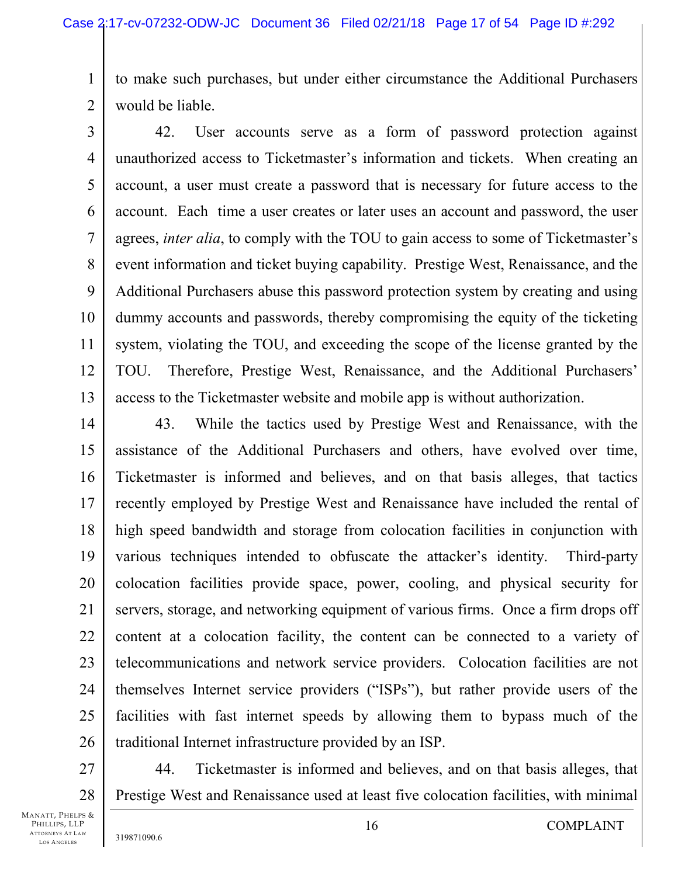1 2 to make such purchases, but under either circumstance the Additional Purchasers would be liable.

3 4 5 6 7 8 9 10 11 12 13 42. User accounts serve as a form of password protection against unauthorized access to Ticketmaster's information and tickets. When creating an account, a user must create a password that is necessary for future access to the account. Each time a user creates or later uses an account and password, the user agrees, *inter alia*, to comply with the TOU to gain access to some of Ticketmaster's event information and ticket buying capability. Prestige West, Renaissance, and the Additional Purchasers abuse this password protection system by creating and using dummy accounts and passwords, thereby compromising the equity of the ticketing system, violating the TOU, and exceeding the scope of the license granted by the TOU. Therefore, Prestige West, Renaissance, and the Additional Purchasers' access to the Ticketmaster website and mobile app is without authorization.

14 15 16 17 18 19 20 21 22 23 24 25 26 43. While the tactics used by Prestige West and Renaissance, with the assistance of the Additional Purchasers and others, have evolved over time, Ticketmaster is informed and believes, and on that basis alleges, that tactics recently employed by Prestige West and Renaissance have included the rental of high speed bandwidth and storage from colocation facilities in conjunction with various techniques intended to obfuscate the attacker's identity. Third-party colocation facilities provide space, power, cooling, and physical security for servers, storage, and networking equipment of various firms. Once a firm drops off content at a colocation facility, the content can be connected to a variety of telecommunications and network service providers. Colocation facilities are not themselves Internet service providers ("ISPs"), but rather provide users of the facilities with fast internet speeds by allowing them to bypass much of the traditional Internet infrastructure provided by an ISP.

27 28 44. Ticketmaster is informed and believes, and on that basis alleges, that Prestige West and Renaissance used at least five colocation facilities, with minimal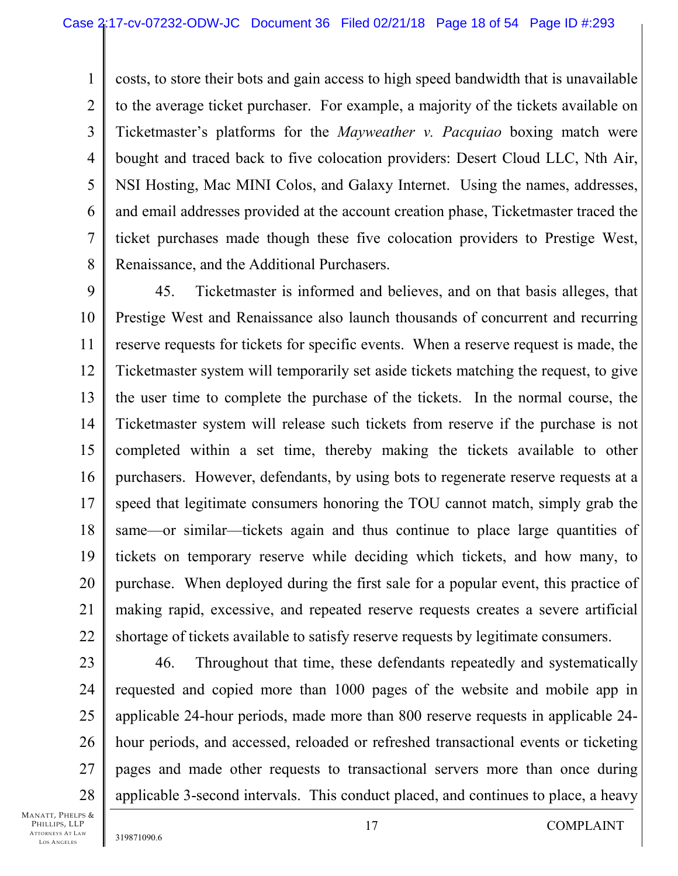1 2 3 4 5 6 7 8 costs, to store their bots and gain access to high speed bandwidth that is unavailable to the average ticket purchaser. For example, a majority of the tickets available on Ticketmaster's platforms for the *Mayweather v. Pacquiao* boxing match were bought and traced back to five colocation providers: Desert Cloud LLC, Nth Air, NSI Hosting, Mac MINI Colos, and Galaxy Internet. Using the names, addresses, and email addresses provided at the account creation phase, Ticketmaster traced the ticket purchases made though these five colocation providers to Prestige West, Renaissance, and the Additional Purchasers.

9 10 11 12 13 14 15 16 17 18 19 20 21 22 45. Ticketmaster is informed and believes, and on that basis alleges, that Prestige West and Renaissance also launch thousands of concurrent and recurring reserve requests for tickets for specific events. When a reserve request is made, the Ticketmaster system will temporarily set aside tickets matching the request, to give the user time to complete the purchase of the tickets. In the normal course, the Ticketmaster system will release such tickets from reserve if the purchase is not completed within a set time, thereby making the tickets available to other purchasers. However, defendants, by using bots to regenerate reserve requests at a speed that legitimate consumers honoring the TOU cannot match, simply grab the same—or similar—tickets again and thus continue to place large quantities of tickets on temporary reserve while deciding which tickets, and how many, to purchase. When deployed during the first sale for a popular event, this practice of making rapid, excessive, and repeated reserve requests creates a severe artificial shortage of tickets available to satisfy reserve requests by legitimate consumers.

23 24 25 26 27 28 46. Throughout that time, these defendants repeatedly and systematically requested and copied more than 1000 pages of the website and mobile app in applicable 24-hour periods, made more than 800 reserve requests in applicable 24 hour periods, and accessed, reloaded or refreshed transactional events or ticketing pages and made other requests to transactional servers more than once during applicable 3-second intervals. This conduct placed, and continues to place, a heavy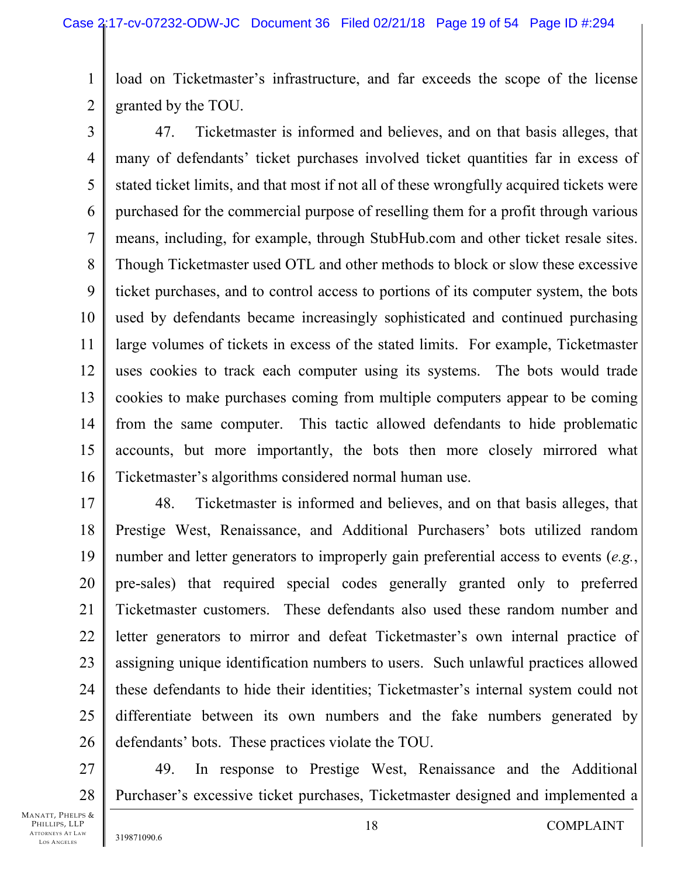1 2 load on Ticketmaster's infrastructure, and far exceeds the scope of the license granted by the TOU.

3 4 5 6 7 8 9 10 11 12 13 14 15 16 47. Ticketmaster is informed and believes, and on that basis alleges, that many of defendants' ticket purchases involved ticket quantities far in excess of stated ticket limits, and that most if not all of these wrongfully acquired tickets were purchased for the commercial purpose of reselling them for a profit through various means, including, for example, through StubHub.com and other ticket resale sites. Though Ticketmaster used OTL and other methods to block or slow these excessive ticket purchases, and to control access to portions of its computer system, the bots used by defendants became increasingly sophisticated and continued purchasing large volumes of tickets in excess of the stated limits. For example, Ticketmaster uses cookies to track each computer using its systems. The bots would trade cookies to make purchases coming from multiple computers appear to be coming from the same computer. This tactic allowed defendants to hide problematic accounts, but more importantly, the bots then more closely mirrored what Ticketmaster's algorithms considered normal human use.

17 18 19 20 21 22 23 24 25 26 48. Ticketmaster is informed and believes, and on that basis alleges, that Prestige West, Renaissance, and Additional Purchasers' bots utilized random number and letter generators to improperly gain preferential access to events (*e.g.*, pre-sales) that required special codes generally granted only to preferred Ticketmaster customers. These defendants also used these random number and letter generators to mirror and defeat Ticketmaster's own internal practice of assigning unique identification numbers to users. Such unlawful practices allowed these defendants to hide their identities; Ticketmaster's internal system could not differentiate between its own numbers and the fake numbers generated by defendants' bots. These practices violate the TOU.

27 28 49. In response to Prestige West, Renaissance and the Additional Purchaser's excessive ticket purchases, Ticketmaster designed and implemented a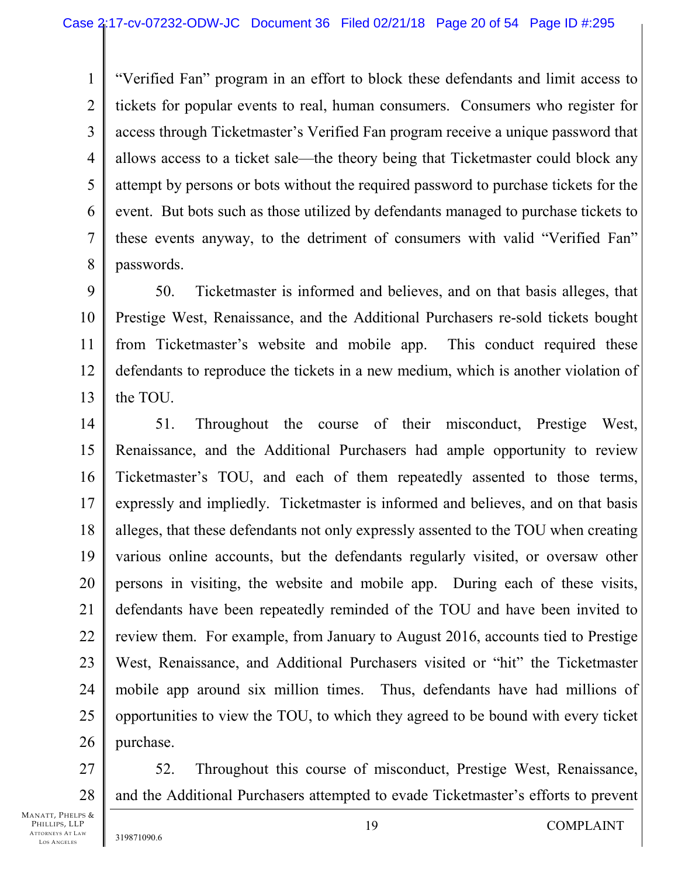3 4 6 "Verified Fan" program in an effort to block these defendants and limit access to tickets for popular events to real, human consumers. Consumers who register for access through Ticketmaster's Verified Fan program receive a unique password that allows access to a ticket sale—the theory being that Ticketmaster could block any attempt by persons or bots without the required password to purchase tickets for the event. But bots such as those utilized by defendants managed to purchase tickets to these events anyway, to the detriment of consumers with valid "Verified Fan" passwords.

9 10 11 12 13 50. Ticketmaster is informed and believes, and on that basis alleges, that Prestige West, Renaissance, and the Additional Purchasers re-sold tickets bought from Ticketmaster's website and mobile app. This conduct required these defendants to reproduce the tickets in a new medium, which is another violation of the TOU.

14 15 16 17 18 19 20 21 22 23 24 25 26 51. Throughout the course of their misconduct, Prestige West, Renaissance, and the Additional Purchasers had ample opportunity to review Ticketmaster's TOU, and each of them repeatedly assented to those terms, expressly and impliedly. Ticketmaster is informed and believes, and on that basis alleges, that these defendants not only expressly assented to the TOU when creating various online accounts, but the defendants regularly visited, or oversaw other persons in visiting, the website and mobile app. During each of these visits, defendants have been repeatedly reminded of the TOU and have been invited to review them. For example, from January to August 2016, accounts tied to Prestige West, Renaissance, and Additional Purchasers visited or "hit" the Ticketmaster mobile app around six million times. Thus, defendants have had millions of opportunities to view the TOU, to which they agreed to be bound with every ticket purchase.

27 28 52. Throughout this course of misconduct, Prestige West, Renaissance, and the Additional Purchasers attempted to evade Ticketmaster's efforts to prevent

1

2

5

7

8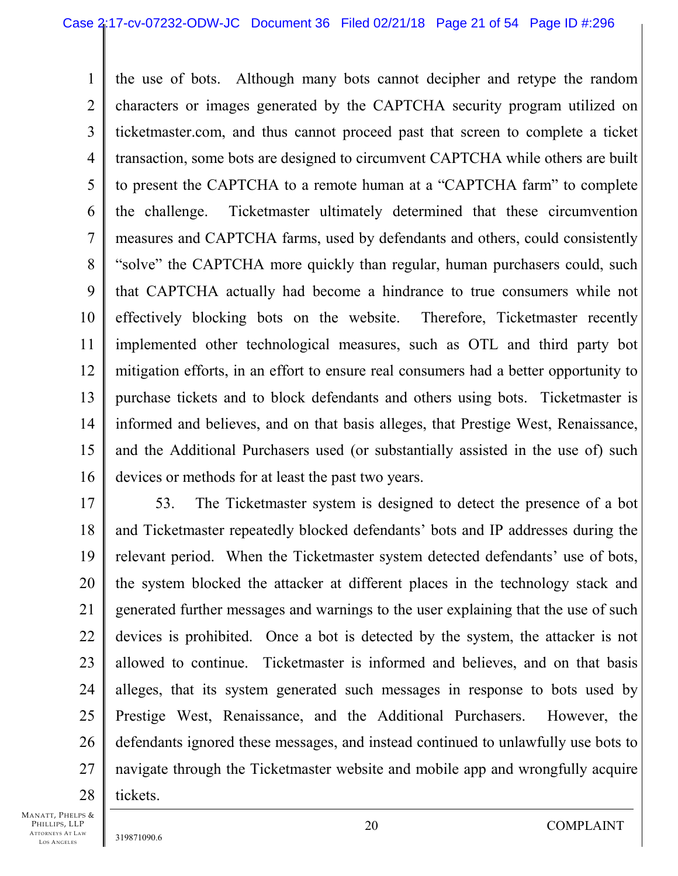1 2 3 4 5 6 7 8 9 10 11 12 13 14 15 16 the use of bots. Although many bots cannot decipher and retype the random characters or images generated by the CAPTCHA security program utilized on ticketmaster.com, and thus cannot proceed past that screen to complete a ticket transaction, some bots are designed to circumvent CAPTCHA while others are built to present the CAPTCHA to a remote human at a "CAPTCHA farm" to complete the challenge. Ticketmaster ultimately determined that these circumvention measures and CAPTCHA farms, used by defendants and others, could consistently "solve" the CAPTCHA more quickly than regular, human purchasers could, such that CAPTCHA actually had become a hindrance to true consumers while not effectively blocking bots on the website. Therefore, Ticketmaster recently implemented other technological measures, such as OTL and third party bot mitigation efforts, in an effort to ensure real consumers had a better opportunity to purchase tickets and to block defendants and others using bots. Ticketmaster is informed and believes, and on that basis alleges, that Prestige West, Renaissance, and the Additional Purchasers used (or substantially assisted in the use of) such devices or methods for at least the past two years.

17 18 19 20 21 22 23 24 25 26 27 28 53. The Ticketmaster system is designed to detect the presence of a bot and Ticketmaster repeatedly blocked defendants' bots and IP addresses during the relevant period. When the Ticketmaster system detected defendants' use of bots, the system blocked the attacker at different places in the technology stack and generated further messages and warnings to the user explaining that the use of such devices is prohibited. Once a bot is detected by the system, the attacker is not allowed to continue. Ticketmaster is informed and believes, and on that basis alleges, that its system generated such messages in response to bots used by Prestige West, Renaissance, and the Additional Purchasers. However, the defendants ignored these messages, and instead continued to unlawfully use bots to navigate through the Ticketmaster website and mobile app and wrongfully acquire tickets.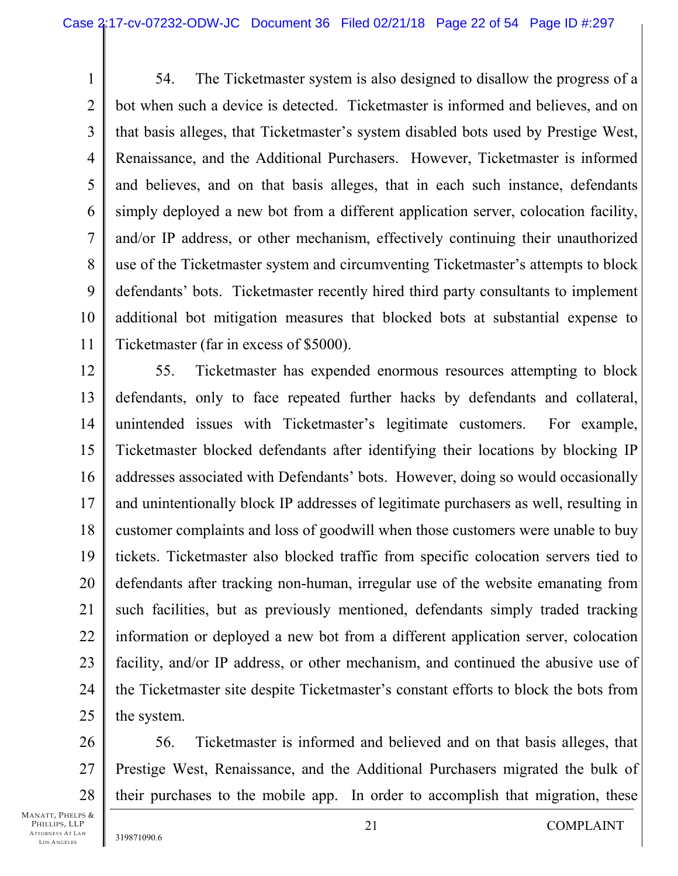1 2 3 4 5 6 7 8 9 10 11 54. The Ticketmaster system is also designed to disallow the progress of a bot when such a device is detected. Ticketmaster is informed and believes, and on that basis alleges, that Ticketmaster's system disabled bots used by Prestige West, Renaissance, and the Additional Purchasers. However, Ticketmaster is informed and believes, and on that basis alleges, that in each such instance, defendants simply deployed a new bot from a different application server, colocation facility, and/or IP address, or other mechanism, effectively continuing their unauthorized use of the Ticketmaster system and circumventing Ticketmaster's attempts to block defendants' bots. Ticketmaster recently hired third party consultants to implement additional bot mitigation measures that blocked bots at substantial expense to Ticketmaster (far in excess of \$5000).

12 13 14 15 16 17 18 19 20 21 22 23 24 25 55. Ticketmaster has expended enormous resources attempting to block defendants, only to face repeated further hacks by defendants and collateral, unintended issues with Ticketmaster's legitimate customers. For example, Ticketmaster blocked defendants after identifying their locations by blocking IP addresses associated with Defendants' bots. However, doing so would occasionally and unintentionally block IP addresses of legitimate purchasers as well, resulting in customer complaints and loss of goodwill when those customers were unable to buy tickets. Ticketmaster also blocked traffic from specific colocation servers tied to defendants after tracking non-human, irregular use of the website emanating from such facilities, but as previously mentioned, defendants simply traded tracking information or deployed a new bot from a different application server, colocation facility, and/or IP address, or other mechanism, and continued the abusive use of the Ticketmaster site despite Ticketmaster's constant efforts to block the bots from the system.

26 27 28 56. Ticketmaster is informed and believed and on that basis alleges, that Prestige West, Renaissance, and the Additional Purchasers migrated the bulk of their purchases to the mobile app. In order to accomplish that migration, these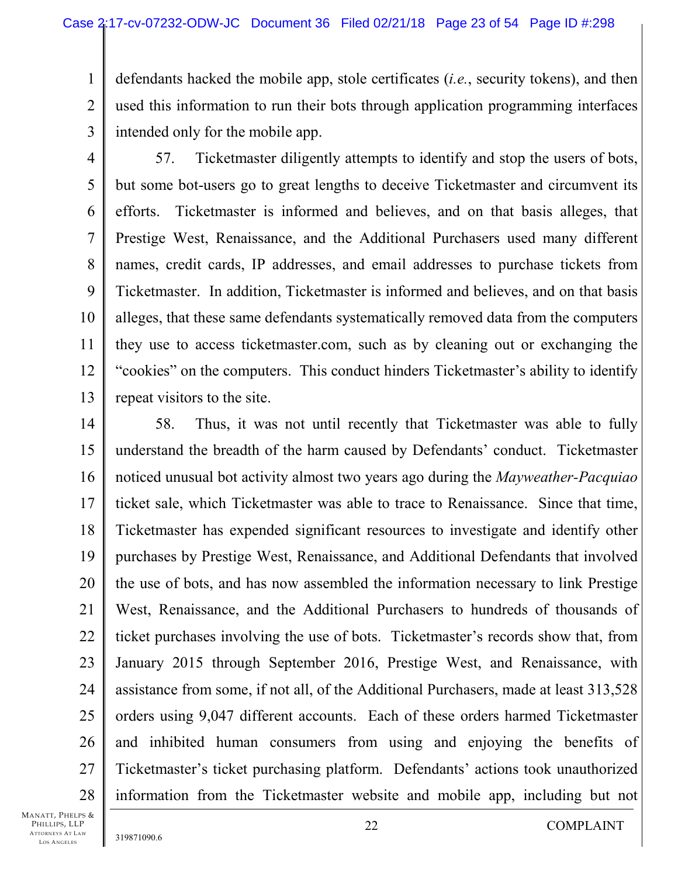1 2 3 defendants hacked the mobile app, stole certificates (*i.e.*, security tokens), and then used this information to run their bots through application programming interfaces intended only for the mobile app.

4 5 6 7 8 9 10 11 12 13 57. Ticketmaster diligently attempts to identify and stop the users of bots, but some bot-users go to great lengths to deceive Ticketmaster and circumvent its efforts. Ticketmaster is informed and believes, and on that basis alleges, that Prestige West, Renaissance, and the Additional Purchasers used many different names, credit cards, IP addresses, and email addresses to purchase tickets from Ticketmaster. In addition, Ticketmaster is informed and believes, and on that basis alleges, that these same defendants systematically removed data from the computers they use to access ticketmaster.com, such as by cleaning out or exchanging the "cookies" on the computers. This conduct hinders Ticketmaster's ability to identify repeat visitors to the site.

14 15 16 17 18 19 20 21 22 23 24 25 26 27 28 58. Thus, it was not until recently that Ticketmaster was able to fully understand the breadth of the harm caused by Defendants' conduct. Ticketmaster noticed unusual bot activity almost two years ago during the *Mayweather-Pacquiao* ticket sale, which Ticketmaster was able to trace to Renaissance. Since that time, Ticketmaster has expended significant resources to investigate and identify other purchases by Prestige West, Renaissance, and Additional Defendants that involved the use of bots, and has now assembled the information necessary to link Prestige West, Renaissance, and the Additional Purchasers to hundreds of thousands of ticket purchases involving the use of bots. Ticketmaster's records show that, from January 2015 through September 2016, Prestige West, and Renaissance, with assistance from some, if not all, of the Additional Purchasers, made at least 313,528 orders using 9,047 different accounts. Each of these orders harmed Ticketmaster and inhibited human consumers from using and enjoying the benefits of Ticketmaster's ticket purchasing platform. Defendants' actions took unauthorized information from the Ticketmaster website and mobile app, including but not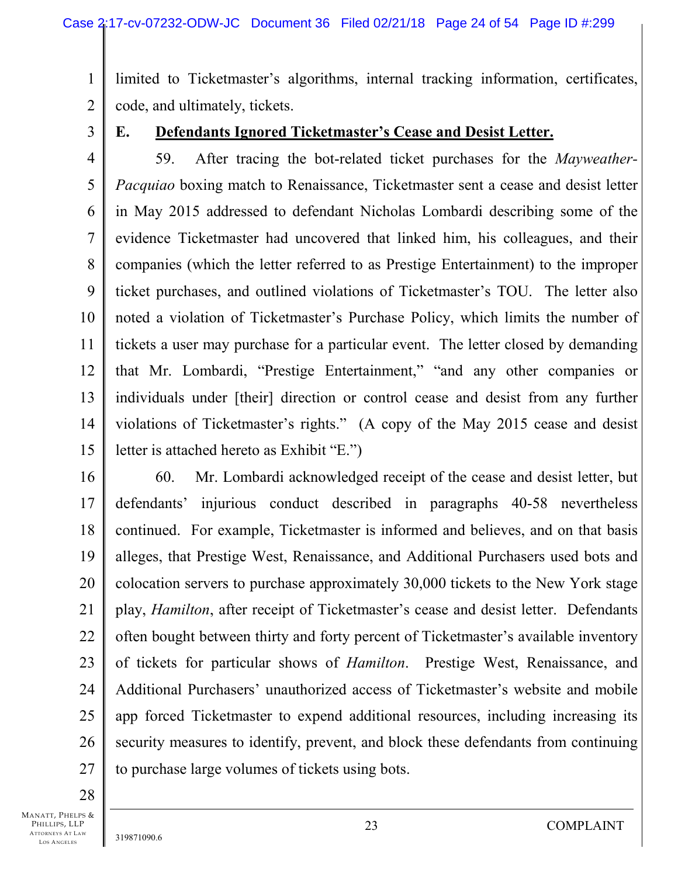1 2 limited to Ticketmaster's algorithms, internal tracking information, certificates, code, and ultimately, tickets.

3

## **E. Defendants Ignored Ticketmaster's Cease and Desist Letter.**

4 5 6 7 8 9 10 11 12 13 14 15 59. After tracing the bot-related ticket purchases for the *Mayweather-Pacquiao* boxing match to Renaissance, Ticketmaster sent a cease and desist letter in May 2015 addressed to defendant Nicholas Lombardi describing some of the evidence Ticketmaster had uncovered that linked him, his colleagues, and their companies (which the letter referred to as Prestige Entertainment) to the improper ticket purchases, and outlined violations of Ticketmaster's TOU. The letter also noted a violation of Ticketmaster's Purchase Policy, which limits the number of tickets a user may purchase for a particular event. The letter closed by demanding that Mr. Lombardi, "Prestige Entertainment," "and any other companies or individuals under [their] direction or control cease and desist from any further violations of Ticketmaster's rights." (A copy of the May 2015 cease and desist letter is attached hereto as Exhibit "E.")

16 17 18 19 20 21 22 23 24 25 26 27 60. Mr. Lombardi acknowledged receipt of the cease and desist letter, but defendants' injurious conduct described in paragraphs 40-58 nevertheless continued. For example, Ticketmaster is informed and believes, and on that basis alleges, that Prestige West, Renaissance, and Additional Purchasers used bots and colocation servers to purchase approximately 30,000 tickets to the New York stage play, *Hamilton*, after receipt of Ticketmaster's cease and desist letter. Defendants often bought between thirty and forty percent of Ticketmaster's available inventory of tickets for particular shows of *Hamilton*. Prestige West, Renaissance, and Additional Purchasers' unauthorized access of Ticketmaster's website and mobile app forced Ticketmaster to expend additional resources, including increasing its security measures to identify, prevent, and block these defendants from continuing to purchase large volumes of tickets using bots.

28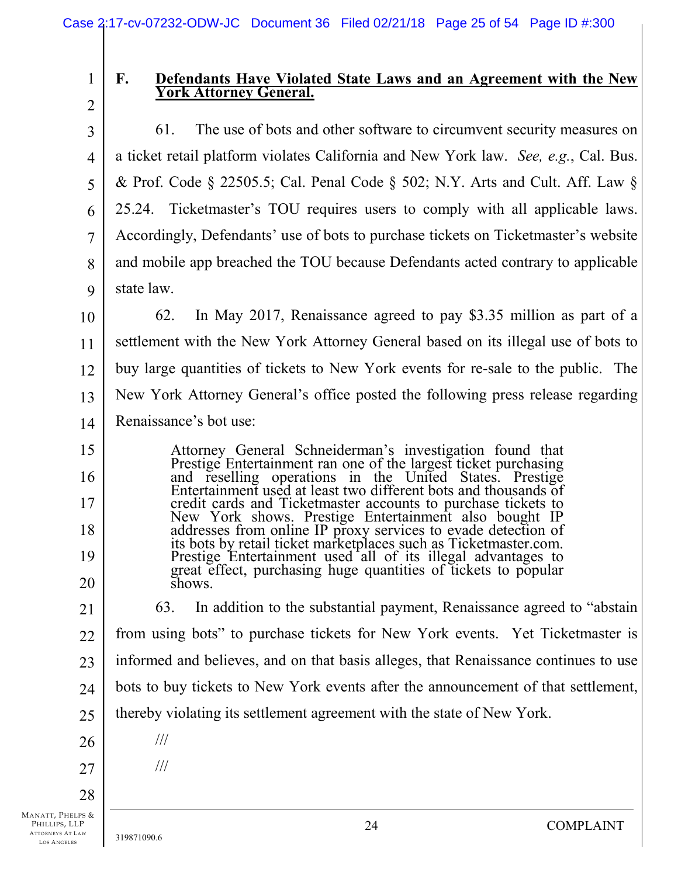2

15

16

17

18

19

20

1

# F. Defendants Have Violated State Laws and an Agreement with the New York Attorney General.

3 4 5 6 7 8 9 61. The use of bots and other software to circumvent security measures on a ticket retail platform violates California and New York law. *See, e.g.*, Cal. Bus. & Prof. Code § 22505.5; Cal. Penal Code § 502; N.Y. Arts and Cult. Aff. Law § 25.24. Ticketmaster's TOU requires users to comply with all applicable laws. Accordingly, Defendants' use of bots to purchase tickets on Ticketmaster's website and mobile app breached the TOU because Defendants acted contrary to applicable state law.

10 11 12 13 14 62. In May 2017, Renaissance agreed to pay \$3.35 million as part of a settlement with the New York Attorney General based on its illegal use of bots to buy large quantities of tickets to New York events for re-sale to the public. The New York Attorney General's office posted the following press release regarding Renaissance's bot use:

> Attorney General Schneiderman's investigation found that Prestige Entertainment ran one of the largest ticket purchasing and reselling operations in the United States. Prestige Entertainment used at least two different bots and thousands of credit cards and Ticketmaster accounts to purchase tickets to New York shows. Prestige Entertainment also bought IP addresses from online IP proxy services to evade detection of its bots by retail ticket marketplaces such as Ticketmaster.com. Prestige Entertainment used all of its illegal advantages to great effect, purchasing huge quantities of tickets to popular shows.

21 22 23 24 25 63. In addition to the substantial payment, Renaissance agreed to "abstain from using bots" to purchase tickets for New York events. Yet Ticketmaster is informed and believes, and on that basis alleges, that Renaissance continues to use bots to buy tickets to New York events after the announcement of that settlement, thereby violating its settlement agreement with the state of New York.

///

///

27

28

26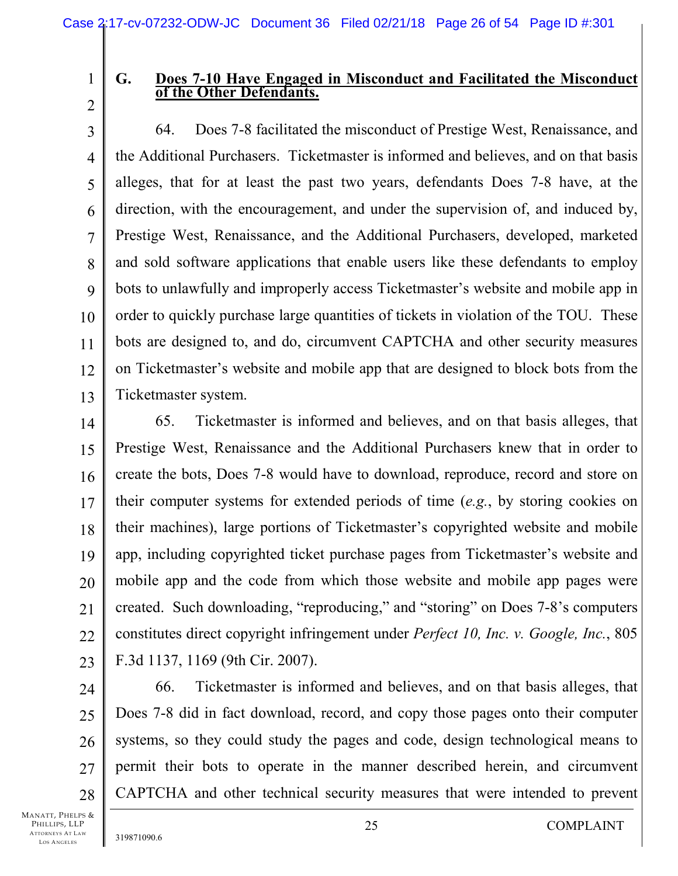## 1 2

# G. Does 7-10 Have Engaged in Misconduct and Facilitated the Misconduct of the Other Defendants.

3 4 5 6 7 8 9 10 11 12 13 64. Does 7-8 facilitated the misconduct of Prestige West, Renaissance, and the Additional Purchasers. Ticketmaster is informed and believes, and on that basis alleges, that for at least the past two years, defendants Does 7-8 have, at the direction, with the encouragement, and under the supervision of, and induced by, Prestige West, Renaissance, and the Additional Purchasers, developed, marketed and sold software applications that enable users like these defendants to employ bots to unlawfully and improperly access Ticketmaster's website and mobile app in order to quickly purchase large quantities of tickets in violation of the TOU. These bots are designed to, and do, circumvent CAPTCHA and other security measures on Ticketmaster's website and mobile app that are designed to block bots from the Ticketmaster system.

14 15 16 17 18 19 20 21 22 23 65. Ticketmaster is informed and believes, and on that basis alleges, that Prestige West, Renaissance and the Additional Purchasers knew that in order to create the bots, Does 7-8 would have to download, reproduce, record and store on their computer systems for extended periods of time (*e.g.*, by storing cookies on their machines), large portions of Ticketmaster's copyrighted website and mobile app, including copyrighted ticket purchase pages from Ticketmaster's website and mobile app and the code from which those website and mobile app pages were created. Such downloading, "reproducing," and "storing" on Does 7-8's computers constitutes direct copyright infringement under *Perfect 10, Inc. v. Google, Inc.*, 805 F.3d 1137, 1169 (9th Cir. 2007).

24 25 26 27 28 66. Ticketmaster is informed and believes, and on that basis alleges, that Does 7-8 did in fact download, record, and copy those pages onto their computer systems, so they could study the pages and code, design technological means to permit their bots to operate in the manner described herein, and circumvent CAPTCHA and other technical security measures that were intended to prevent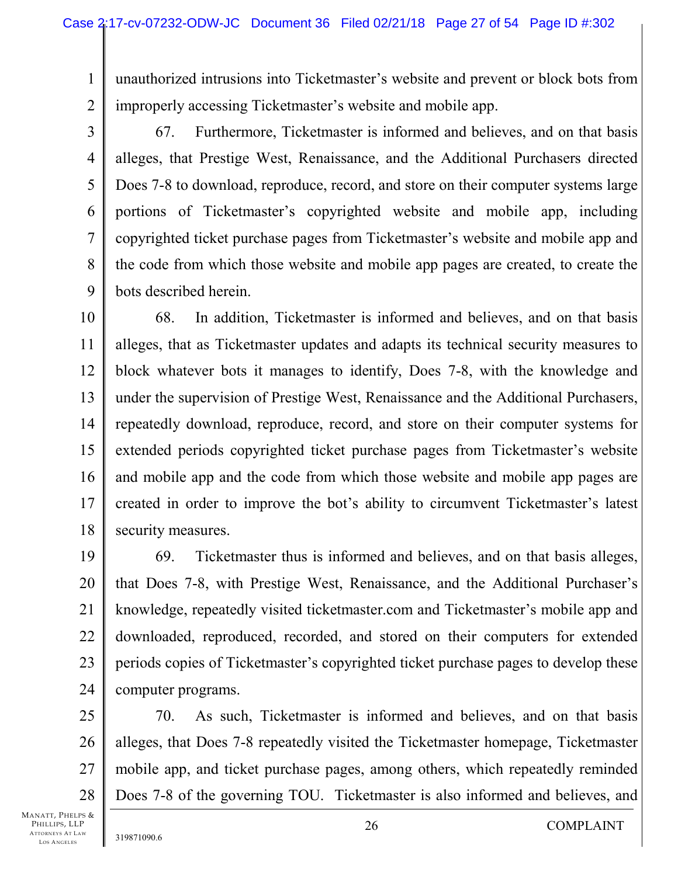unauthorized intrusions into Ticketmaster's website and prevent or block bots from improperly accessing Ticketmaster's website and mobile app.

3

4

5

6

7

8

9

1

2

67. Furthermore, Ticketmaster is informed and believes, and on that basis alleges, that Prestige West, Renaissance, and the Additional Purchasers directed Does 7-8 to download, reproduce, record, and store on their computer systems large portions of Ticketmaster's copyrighted website and mobile app, including copyrighted ticket purchase pages from Ticketmaster's website and mobile app and the code from which those website and mobile app pages are created, to create the bots described herein.

10 11 12 13 14 15 16 17 18 68. In addition, Ticketmaster is informed and believes, and on that basis alleges, that as Ticketmaster updates and adapts its technical security measures to block whatever bots it manages to identify, Does 7-8, with the knowledge and under the supervision of Prestige West, Renaissance and the Additional Purchasers, repeatedly download, reproduce, record, and store on their computer systems for extended periods copyrighted ticket purchase pages from Ticketmaster's website and mobile app and the code from which those website and mobile app pages are created in order to improve the bot's ability to circumvent Ticketmaster's latest security measures.

19 20 21 22 23 24 69. Ticketmaster thus is informed and believes, and on that basis alleges, that Does 7-8, with Prestige West, Renaissance, and the Additional Purchaser's knowledge, repeatedly visited ticketmaster.com and Ticketmaster's mobile app and downloaded, reproduced, recorded, and stored on their computers for extended periods copies of Ticketmaster's copyrighted ticket purchase pages to develop these computer programs.

25 26 27 28 70. As such, Ticketmaster is informed and believes, and on that basis alleges, that Does 7-8 repeatedly visited the Ticketmaster homepage, Ticketmaster mobile app, and ticket purchase pages, among others, which repeatedly reminded Does 7-8 of the governing TOU. Ticketmaster is also informed and believes, and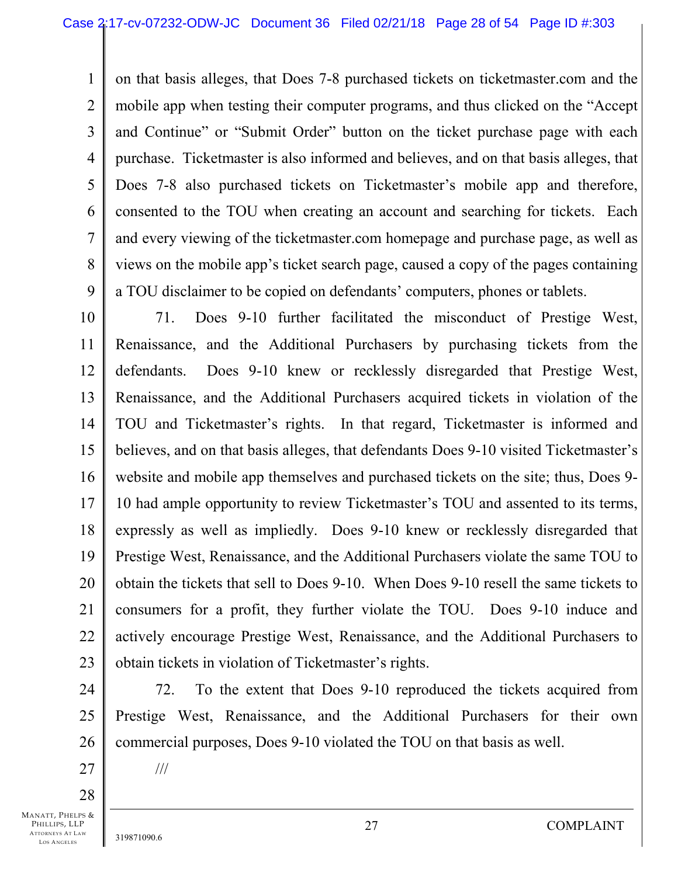1 2 3 4 5 6 7 8 9 on that basis alleges, that Does 7-8 purchased tickets on ticketmaster.com and the mobile app when testing their computer programs, and thus clicked on the "Accept and Continue" or "Submit Order" button on the ticket purchase page with each purchase. Ticketmaster is also informed and believes, and on that basis alleges, that Does 7-8 also purchased tickets on Ticketmaster's mobile app and therefore, consented to the TOU when creating an account and searching for tickets. Each and every viewing of the ticketmaster.com homepage and purchase page, as well as views on the mobile app's ticket search page, caused a copy of the pages containing a TOU disclaimer to be copied on defendants' computers, phones or tablets.

10 11 12 13 14 15 16 17 18 19 20 21 22 23 71. Does 9-10 further facilitated the misconduct of Prestige West, Renaissance, and the Additional Purchasers by purchasing tickets from the defendants. Does 9-10 knew or recklessly disregarded that Prestige West, Renaissance, and the Additional Purchasers acquired tickets in violation of the TOU and Ticketmaster's rights. In that regard, Ticketmaster is informed and believes, and on that basis alleges, that defendants Does 9-10 visited Ticketmaster's website and mobile app themselves and purchased tickets on the site; thus, Does 9- 10 had ample opportunity to review Ticketmaster's TOU and assented to its terms, expressly as well as impliedly. Does 9-10 knew or recklessly disregarded that Prestige West, Renaissance, and the Additional Purchasers violate the same TOU to obtain the tickets that sell to Does 9-10. When Does 9-10 resell the same tickets to consumers for a profit, they further violate the TOU. Does 9-10 induce and actively encourage Prestige West, Renaissance, and the Additional Purchasers to obtain tickets in violation of Ticketmaster's rights.

24 25 26 72. To the extent that Does 9-10 reproduced the tickets acquired from Prestige West, Renaissance, and the Additional Purchasers for their own commercial purposes, Does 9-10 violated the TOU on that basis as well.

27 28

MANATT, PHELPS & PHILLIPS, LLP ATTORNEYS AT LAW LOS A NGELES

///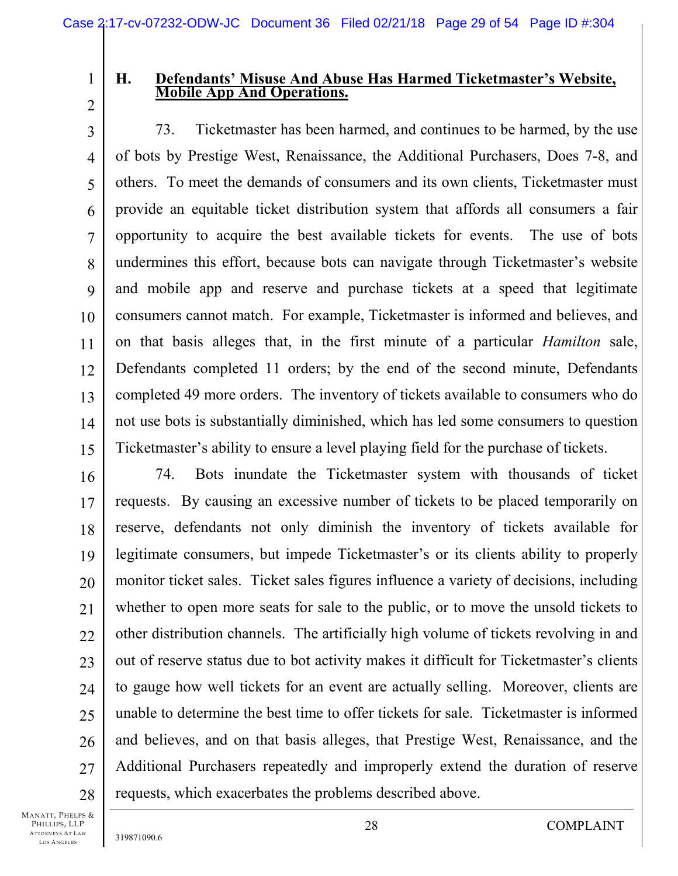1 2

### **H. Defendants' Misuse And Abuse Has Harmed Ticketmaster's Website, Mobile App And Operations.**

3 4 5 6 7 8 9 10 11 12 13 14 15 73. Ticketmaster has been harmed, and continues to be harmed, by the use of bots by Prestige West, Renaissance, the Additional Purchasers, Does 7-8, and others. To meet the demands of consumers and its own clients, Ticketmaster must provide an equitable ticket distribution system that affords all consumers a fair opportunity to acquire the best available tickets for events. The use of bots undermines this effort, because bots can navigate through Ticketmaster's website and mobile app and reserve and purchase tickets at a speed that legitimate consumers cannot match. For example, Ticketmaster is informed and believes, and on that basis alleges that, in the first minute of a particular *Hamilton* sale, Defendants completed 11 orders; by the end of the second minute, Defendants completed 49 more orders. The inventory of tickets available to consumers who do not use bots is substantially diminished, which has led some consumers to question Ticketmaster's ability to ensure a level playing field for the purchase of tickets.

16 17 18 19 20 21 22 23 24 25 26 27 28 74. Bots inundate the Ticketmaster system with thousands of ticket requests. By causing an excessive number of tickets to be placed temporarily on reserve, defendants not only diminish the inventory of tickets available for legitimate consumers, but impede Ticketmaster's or its clients ability to properly monitor ticket sales. Ticket sales figures influence a variety of decisions, including whether to open more seats for sale to the public, or to move the unsold tickets to other distribution channels. The artificially high volume of tickets revolving in and out of reserve status due to bot activity makes it difficult for Ticketmaster's clients to gauge how well tickets for an event are actually selling. Moreover, clients are unable to determine the best time to offer tickets for sale. Ticketmaster is informed and believes, and on that basis alleges, that Prestige West, Renaissance, and the Additional Purchasers repeatedly and improperly extend the duration of reserve requests, which exacerbates the problems described above.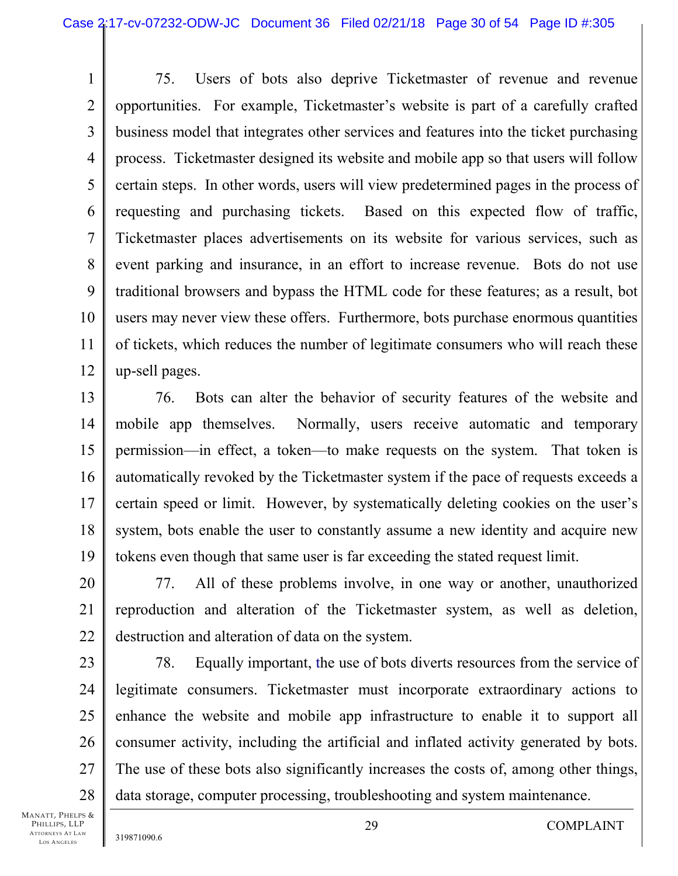1 2 3 4 5 6 7 8 9 10 11 12 75. Users of bots also deprive Ticketmaster of revenue and revenue opportunities. For example, Ticketmaster's website is part of a carefully crafted business model that integrates other services and features into the ticket purchasing process. Ticketmaster designed its website and mobile app so that users will follow certain steps. In other words, users will view predetermined pages in the process of requesting and purchasing tickets. Based on this expected flow of traffic, Ticketmaster places advertisements on its website for various services, such as event parking and insurance, in an effort to increase revenue. Bots do not use traditional browsers and bypass the HTML code for these features; as a result, bot users may never view these offers. Furthermore, bots purchase enormous quantities of tickets, which reduces the number of legitimate consumers who will reach these up-sell pages.

13 14 15 16 17 18 19 76. Bots can alter the behavior of security features of the website and mobile app themselves. Normally, users receive automatic and temporary permission—in effect, a token—to make requests on the system. That token is automatically revoked by the Ticketmaster system if the pace of requests exceeds a certain speed or limit. However, by systematically deleting cookies on the user's system, bots enable the user to constantly assume a new identity and acquire new tokens even though that same user is far exceeding the stated request limit.

20 21 22 77. All of these problems involve, in one way or another, unauthorized reproduction and alteration of the Ticketmaster system, as well as deletion, destruction and alteration of data on the system.

23 24 25 26 27 28 78. Equally important, the use of bots diverts resources from the service of legitimate consumers. Ticketmaster must incorporate extraordinary actions to enhance the website and mobile app infrastructure to enable it to support all consumer activity, including the artificial and inflated activity generated by bots. The use of these bots also significantly increases the costs of, among other things, data storage, computer processing, troubleshooting and system maintenance.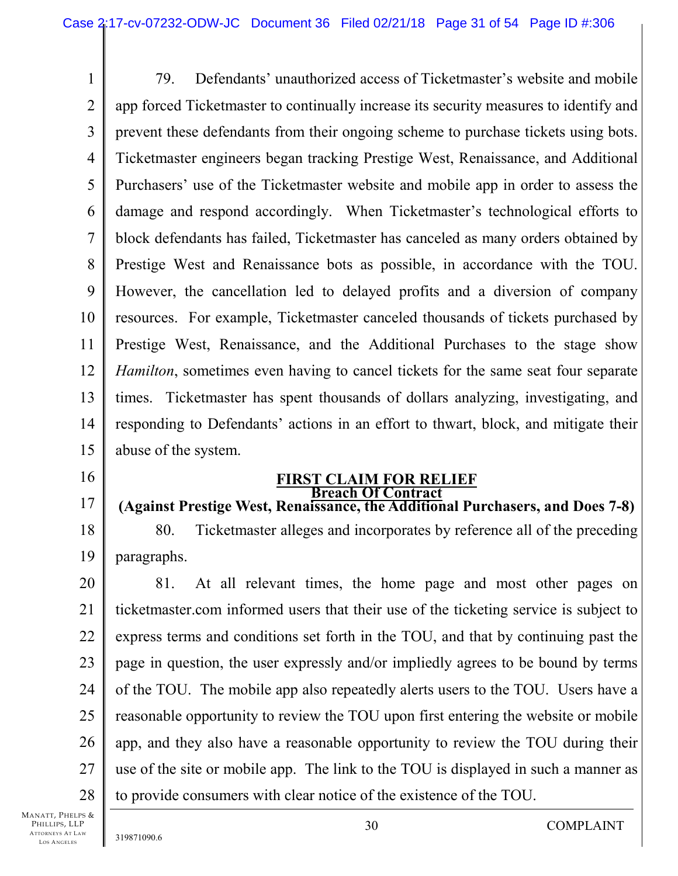1 2 3 4 5 6 7 8 9 10 11 12 13 14 15 79. Defendants' unauthorized access of Ticketmaster's website and mobile app forced Ticketmaster to continually increase its security measures to identify and prevent these defendants from their ongoing scheme to purchase tickets using bots. Ticketmaster engineers began tracking Prestige West, Renaissance, and Additional Purchasers' use of the Ticketmaster website and mobile app in order to assess the damage and respond accordingly. When Ticketmaster's technological efforts to block defendants has failed, Ticketmaster has canceled as many orders obtained by Prestige West and Renaissance bots as possible, in accordance with the TOU. However, the cancellation led to delayed profits and a diversion of company resources. For example, Ticketmaster canceled thousands of tickets purchased by Prestige West, Renaissance, and the Additional Purchases to the stage show *Hamilton*, sometimes even having to cancel tickets for the same seat four separate times. Ticketmaster has spent thousands of dollars analyzing, investigating, and responding to Defendants' actions in an effort to thwart, block, and mitigate their abuse of the system.

16

17

#### **FIRST CLAIM FOR RELIEF Breach Of Contract**

### **(Against Prestige West, Renaissance, the Additional Purchasers, and Does 7-8)**

18 19 80. Ticketmaster alleges and incorporates by reference all of the preceding paragraphs.

20 21 22 23 24 25 26 27 28 81. At all relevant times, the home page and most other pages on ticketmaster.com informed users that their use of the ticketing service is subject to express terms and conditions set forth in the TOU, and that by continuing past the page in question, the user expressly and/or impliedly agrees to be bound by terms of the TOU. The mobile app also repeatedly alerts users to the TOU. Users have a reasonable opportunity to review the TOU upon first entering the website or mobile app, and they also have a reasonable opportunity to review the TOU during their use of the site or mobile app. The link to the TOU is displayed in such a manner as to provide consumers with clear notice of the existence of the TOU.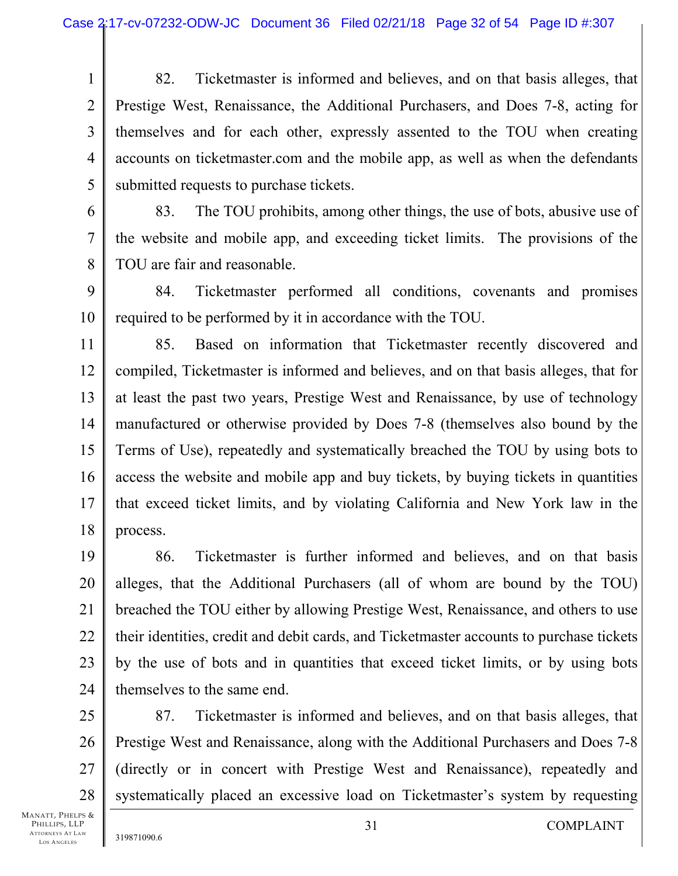1 2 3 4 5 82. Ticketmaster is informed and believes, and on that basis alleges, that Prestige West, Renaissance, the Additional Purchasers, and Does 7-8, acting for themselves and for each other, expressly assented to the TOU when creating accounts on ticketmaster.com and the mobile app, as well as when the defendants submitted requests to purchase tickets.

6 7 8 83. The TOU prohibits, among other things, the use of bots, abusive use of the website and mobile app, and exceeding ticket limits. The provisions of the TOU are fair and reasonable.

9 10 84. Ticketmaster performed all conditions, covenants and promises required to be performed by it in accordance with the TOU.

11 12 13 14 15 16 17 18 85. Based on information that Ticketmaster recently discovered and compiled, Ticketmaster is informed and believes, and on that basis alleges, that for at least the past two years, Prestige West and Renaissance, by use of technology manufactured or otherwise provided by Does 7-8 (themselves also bound by the Terms of Use), repeatedly and systematically breached the TOU by using bots to access the website and mobile app and buy tickets, by buying tickets in quantities that exceed ticket limits, and by violating California and New York law in the process.

19 20 21 22 23 24 86. Ticketmaster is further informed and believes, and on that basis alleges, that the Additional Purchasers (all of whom are bound by the TOU) breached the TOU either by allowing Prestige West, Renaissance, and others to use their identities, credit and debit cards, and Ticketmaster accounts to purchase tickets by the use of bots and in quantities that exceed ticket limits, or by using bots themselves to the same end.

25 26 27 28 87. Ticketmaster is informed and believes, and on that basis alleges, that Prestige West and Renaissance, along with the Additional Purchasers and Does 7-8 (directly or in concert with Prestige West and Renaissance), repeatedly and systematically placed an excessive load on Ticketmaster's system by requesting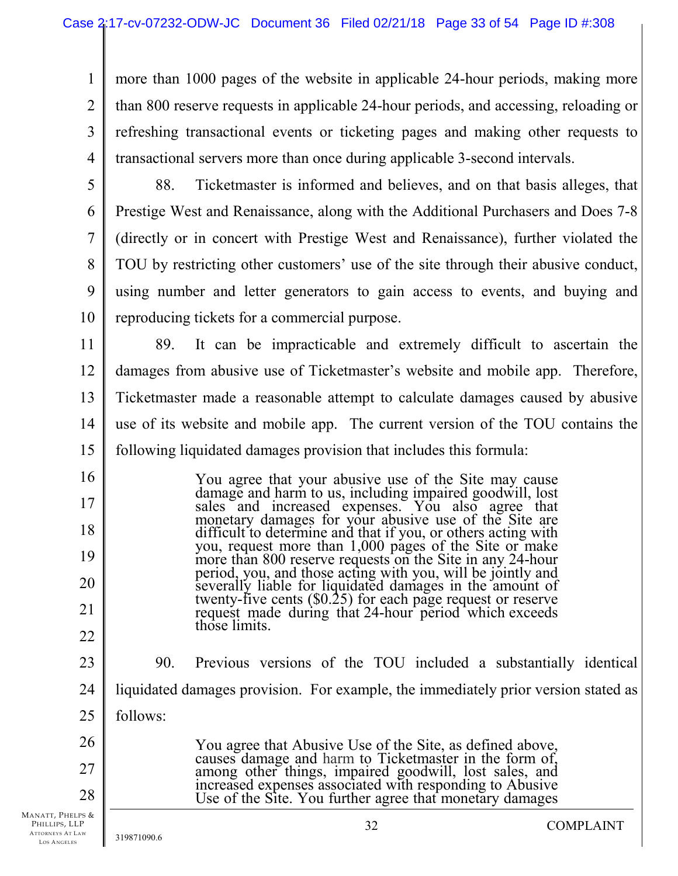1 2 3 4 more than 1000 pages of the website in applicable 24-hour periods, making more than 800 reserve requests in applicable 24-hour periods, and accessing, reloading or refreshing transactional events or ticketing pages and making other requests to transactional servers more than once during applicable 3-second intervals.

5

16

17

18

19

20

21

22

28

6 7 8 9 10 88. Ticketmaster is informed and believes, and on that basis alleges, that Prestige West and Renaissance, along with the Additional Purchasers and Does 7-8 (directly or in concert with Prestige West and Renaissance), further violated the TOU by restricting other customers' use of the site through their abusive conduct, using number and letter generators to gain access to events, and buying and reproducing tickets for a commercial purpose.

11 12 13 14 15 89. It can be impracticable and extremely difficult to ascertain the damages from abusive use of Ticketmaster's website and mobile app. Therefore, Ticketmaster made a reasonable attempt to calculate damages caused by abusive use of its website and mobile app. The current version of the TOU contains the following liquidated damages provision that includes this formula:

> You agree that your abusive use of the Site may cause damage and harm to us, including impaired goodwill, lost sales and increased expenses. You also agree that monetary damages for your abusive use of the Site are difficult to determine and that if you, or others acting with you, request more than 1,000 pages of the Site or make more than 800 reserve requests on the Site in any 24-hour period, you, and those acting with you, will be jointly and severally liable for liquidated damages in the amount of twenty-five cents (\$0.25) for each page request or reserve request made during that 24-hour period which exceeds those limits.

23 24 25 26 27 90. Previous versions of the TOU included a substantially identical liquidated damages provision. For example, the immediately prior version stated as follows: You agree that Abusive Use of the Site, as defined above,

causes damage and harm to Ticketmaster in the form of, among other things, impaired goodwill, lost sales, and increased expenses associated with responding to Abusive Use of the Site. You further agree that monetary damages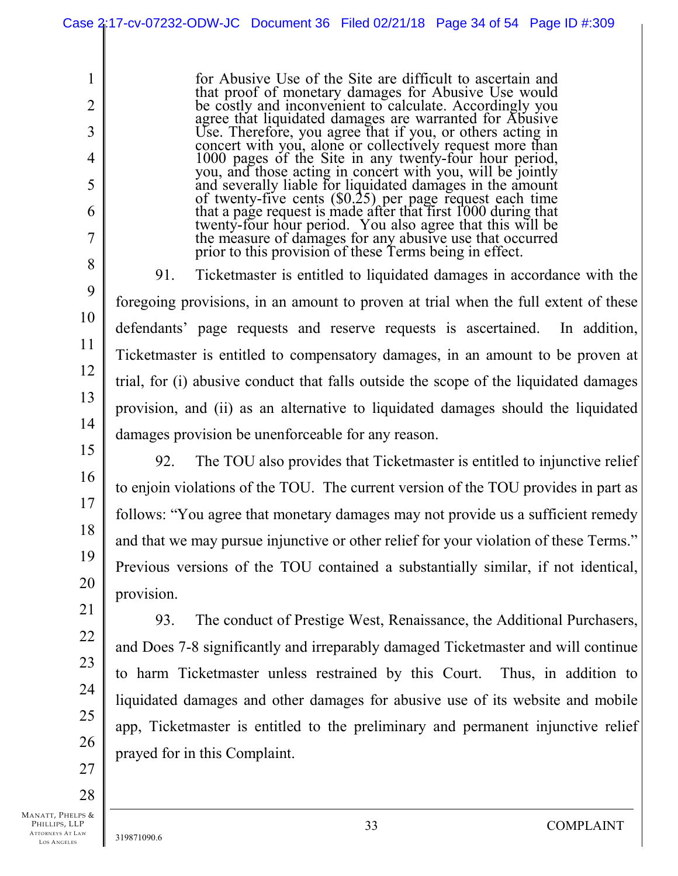for Abusive Use of the Site are difficult to ascertain and that proof of monetary damages for Abusive Use would be costly and inconvenient to calculate. Accordingly you agree that liquidated damages are warranted for Abusive Use. Therefore, you agree that if you, or others acting in concert with you, alone or collectively request more than 1000 pages of the Site in any twenty-four hour period, you, and those acting in concert with you, will be jointly and severally liable for liquidated damages in the amount of twenty-five cents (\$0.25) per page request each time that a page request is made after that first 1000 during that twenty-four hour period. You also agree that this will be the measure of damages for any abusive use that occurred prior to this provision of these Terms being in effect.

91. Ticketmaster is entitled to liquidated damages in accordance with the foregoing provisions, in an amount to proven at trial when the full extent of these defendants' page requests and reserve requests is ascertained. In addition, Ticketmaster is entitled to compensatory damages, in an amount to be proven at trial, for (i) abusive conduct that falls outside the scope of the liquidated damages provision, and (ii) as an alternative to liquidated damages should the liquidated damages provision be unenforceable for any reason.

92. The TOU also provides that Ticketmaster is entitled to injunctive relief to enjoin violations of the TOU. The current version of the TOU provides in part as follows: "You agree that monetary damages may not provide us a sufficient remedy and that we may pursue injunctive or other relief for your violation of these Terms." Previous versions of the TOU contained a substantially similar, if not identical, provision.

93. The conduct of Prestige West, Renaissance, the Additional Purchasers, and Does 7-8 significantly and irreparably damaged Ticketmaster and will continue to harm Ticketmaster unless restrained by this Court. Thus, in addition to liquidated damages and other damages for abusive use of its website and mobile app, Ticketmaster is entitled to the preliminary and permanent injunctive relief prayed for in this Complaint.

28

1

2

3

4

5

6

7

8

9

10

11

12

13

14

15

16

17

18

19

20

21

22

23

24

25

26

27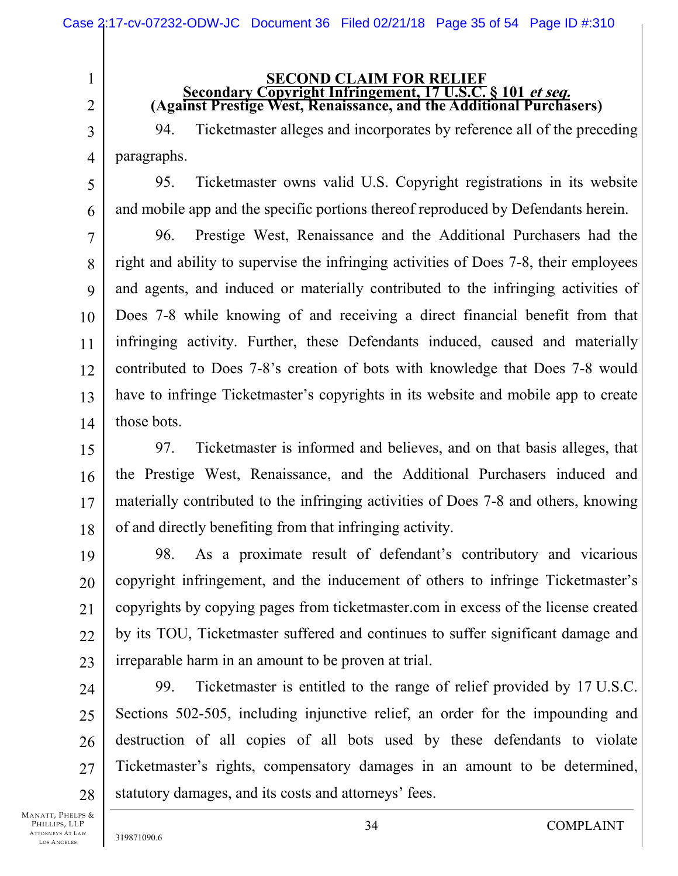# **SECOND CLAIM FOR RELIEF Secondary Copyright Infringement, 17 U.S.C. § 101 et seq. (Against Prestige West, Renaissance, and the Additional Purchasers)**

94. Ticketmaster alleges and incorporates by reference all of the preceding paragraphs.

95. Ticketmaster owns valid U.S. Copyright registrations in its website and mobile app and the specific portions thereof reproduced by Defendants herein.

7 8 9 10 11 12 13 14 96. Prestige West, Renaissance and the Additional Purchasers had the right and ability to supervise the infringing activities of Does 7-8, their employees and agents, and induced or materially contributed to the infringing activities of Does 7-8 while knowing of and receiving a direct financial benefit from that infringing activity. Further, these Defendants induced, caused and materially contributed to Does 7-8's creation of bots with knowledge that Does 7-8 would have to infringe Ticketmaster's copyrights in its website and mobile app to create those bots.

15 16 17 18 97. Ticketmaster is informed and believes, and on that basis alleges, that the Prestige West, Renaissance, and the Additional Purchasers induced and materially contributed to the infringing activities of Does 7-8 and others, knowing of and directly benefiting from that infringing activity.

19 20 21 22 23 98. As a proximate result of defendant's contributory and vicarious copyright infringement, and the inducement of others to infringe Ticketmaster's copyrights by copying pages from ticketmaster.com in excess of the license created by its TOU, Ticketmaster suffered and continues to suffer significant damage and irreparable harm in an amount to be proven at trial.

24 25 26 27 28 99. Ticketmaster is entitled to the range of relief provided by 17 U.S.C. Sections 502-505, including injunctive relief, an order for the impounding and destruction of all copies of all bots used by these defendants to violate Ticketmaster's rights, compensatory damages in an amount to be determined, statutory damages, and its costs and attorneys' fees.

MANATT, PHELPS & PHILLIPS, LLP ATTORNEYS AT LAW LOS A NGELES

1

2

3

4

5

6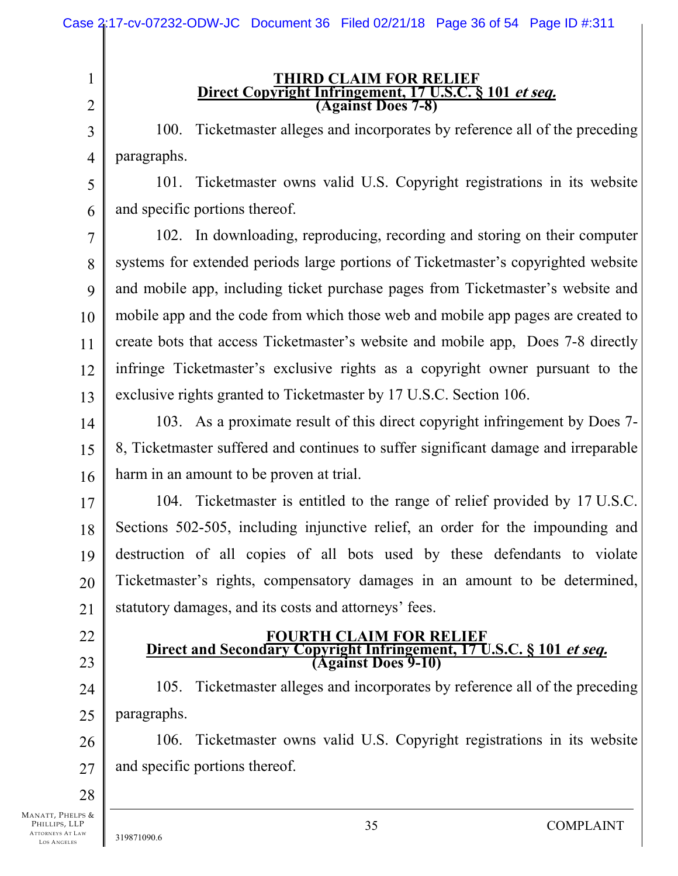|                                                                             | Case 2:17-cv-07232-ODW-JC Document 36 Filed 02/21/18 Page 36 of 54 Page ID #:311                              |  |  |  |  |  |  |
|-----------------------------------------------------------------------------|---------------------------------------------------------------------------------------------------------------|--|--|--|--|--|--|
| $\mathbf{1}$<br>$\overline{2}$                                              | <b>THIRD CLAIM FOR RELIEF</b><br>Direct Copyright Infringement, 17 U.S.C. § 101 et seq.<br>(Against Does 7-8) |  |  |  |  |  |  |
| 3                                                                           | Ticketmaster alleges and incorporates by reference all of the preceding<br>100.                               |  |  |  |  |  |  |
| $\overline{4}$                                                              | paragraphs.                                                                                                   |  |  |  |  |  |  |
| 5                                                                           | 101. Ticketmaster owns valid U.S. Copyright registrations in its website                                      |  |  |  |  |  |  |
| 6                                                                           | and specific portions thereof.                                                                                |  |  |  |  |  |  |
| 7                                                                           | 102. In downloading, reproducing, recording and storing on their computer                                     |  |  |  |  |  |  |
| 8                                                                           | systems for extended periods large portions of Ticketmaster's copyrighted website                             |  |  |  |  |  |  |
| 9                                                                           | and mobile app, including ticket purchase pages from Ticketmaster's website and                               |  |  |  |  |  |  |
| 10                                                                          | mobile app and the code from which those web and mobile app pages are created to                              |  |  |  |  |  |  |
| 11                                                                          | create bots that access Ticketmaster's website and mobile app, Does 7-8 directly                              |  |  |  |  |  |  |
| 12                                                                          | infringe Ticketmaster's exclusive rights as a copyright owner pursuant to the                                 |  |  |  |  |  |  |
| 13                                                                          | exclusive rights granted to Ticketmaster by 17 U.S.C. Section 106.                                            |  |  |  |  |  |  |
| 14                                                                          | 103. As a proximate result of this direct copyright infringement by Does 7-                                   |  |  |  |  |  |  |
| 15                                                                          | 8, Ticketmaster suffered and continues to suffer significant damage and irreparable                           |  |  |  |  |  |  |
| 16                                                                          | harm in an amount to be proven at trial.                                                                      |  |  |  |  |  |  |
| 17                                                                          | 104. Ticketmaster is entitled to the range of relief provided by 17 U.S.C.                                    |  |  |  |  |  |  |
| 18                                                                          | Sections 502-505, including injunctive relief, an order for the impounding and                                |  |  |  |  |  |  |
| 19                                                                          | destruction of all copies of all bots used by these defendants to violate                                     |  |  |  |  |  |  |
| 20                                                                          | Ticketmaster's rights, compensatory damages in an amount to be determined,                                    |  |  |  |  |  |  |
| 21                                                                          | statutory damages, and its costs and attorneys' fees.                                                         |  |  |  |  |  |  |
| 22                                                                          | <b>FOURTH CLAIM FOR RELIEF</b>                                                                                |  |  |  |  |  |  |
| 23                                                                          | Direct and Secondary Copyright Infringement, 17 U.S.C. § 101 et seq. (Against Does 9-10)                      |  |  |  |  |  |  |
| 24                                                                          | Ticketmaster alleges and incorporates by reference all of the preceding<br>105.                               |  |  |  |  |  |  |
| 25                                                                          | paragraphs.                                                                                                   |  |  |  |  |  |  |
| 26                                                                          | Ticketmaster owns valid U.S. Copyright registrations in its website<br>106.                                   |  |  |  |  |  |  |
| 27                                                                          | and specific portions thereof.                                                                                |  |  |  |  |  |  |
| 28                                                                          |                                                                                                               |  |  |  |  |  |  |
| 4anatt, Phelps &<br>PHILLIPS, LLP<br>ATTORNEYS AT LAW<br><b>LOS ANGELES</b> | 35<br><b>COMPLAINT</b><br>319871090.6                                                                         |  |  |  |  |  |  |

MANATT,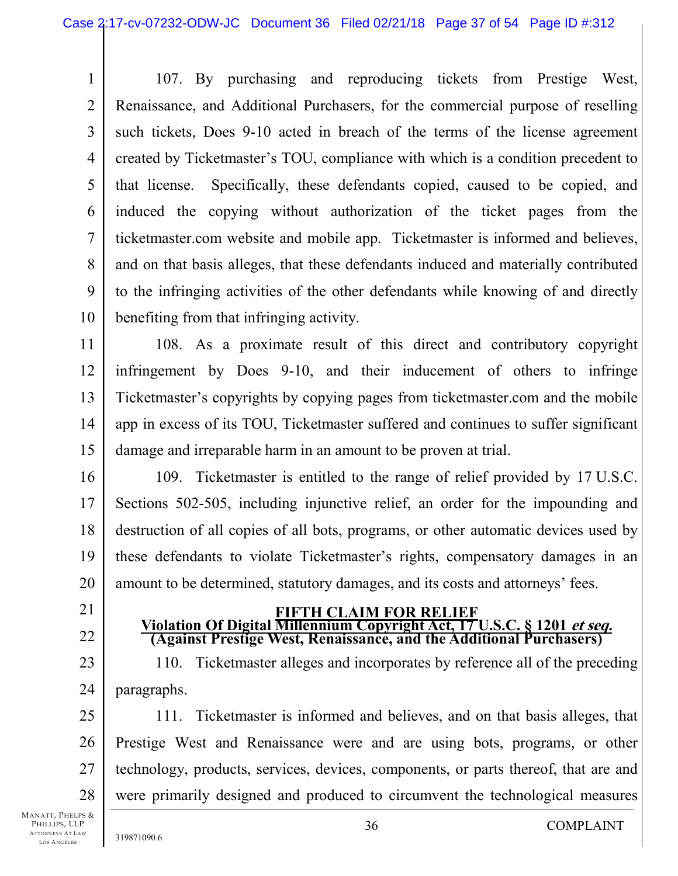1 2 3 4 5 6 7 8 9 10 107. By purchasing and reproducing tickets from Prestige West, Renaissance, and Additional Purchasers, for the commercial purpose of reselling such tickets, Does 9-10 acted in breach of the terms of the license agreement created by Ticketmaster's TOU, compliance with which is a condition precedent to that license. Specifically, these defendants copied, caused to be copied, and induced the copying without authorization of the ticket pages from the ticketmaster.com website and mobile app. Ticketmaster is informed and believes, and on that basis alleges, that these defendants induced and materially contributed to the infringing activities of the other defendants while knowing of and directly benefiting from that infringing activity.

11 12 13 14 15 108. As a proximate result of this direct and contributory copyright infringement by Does 9-10, and their inducement of others to infringe Ticketmaster's copyrights by copying pages from ticketmaster.com and the mobile app in excess of its TOU, Ticketmaster suffered and continues to suffer significant damage and irreparable harm in an amount to be proven at trial.

16 17 18 19 20 109. Ticketmaster is entitled to the range of relief provided by 17 U.S.C. Sections 502-505, including injunctive relief, an order for the impounding and destruction of all copies of all bots, programs, or other automatic devices used by these defendants to violate Ticketmaster's rights, compensatory damages in an amount to be determined, statutory damages, and its costs and attorneys' fees.

21

22

**FIFTH CLAIM FOR RELIEF Violation Of Digital Millennium Copyright Act, 17 U.S.C. § 1201 et seq. (Against Prestige West, Renaissance, and the Additional Purchasers)** 

23 24 110. Ticketmaster alleges and incorporates by reference all of the preceding paragraphs.

25 26 27 28 111. Ticketmaster is informed and believes, and on that basis alleges, that Prestige West and Renaissance were and are using bots, programs, or other technology, products, services, devices, components, or parts thereof, that are and were primarily designed and produced to circumvent the technological measures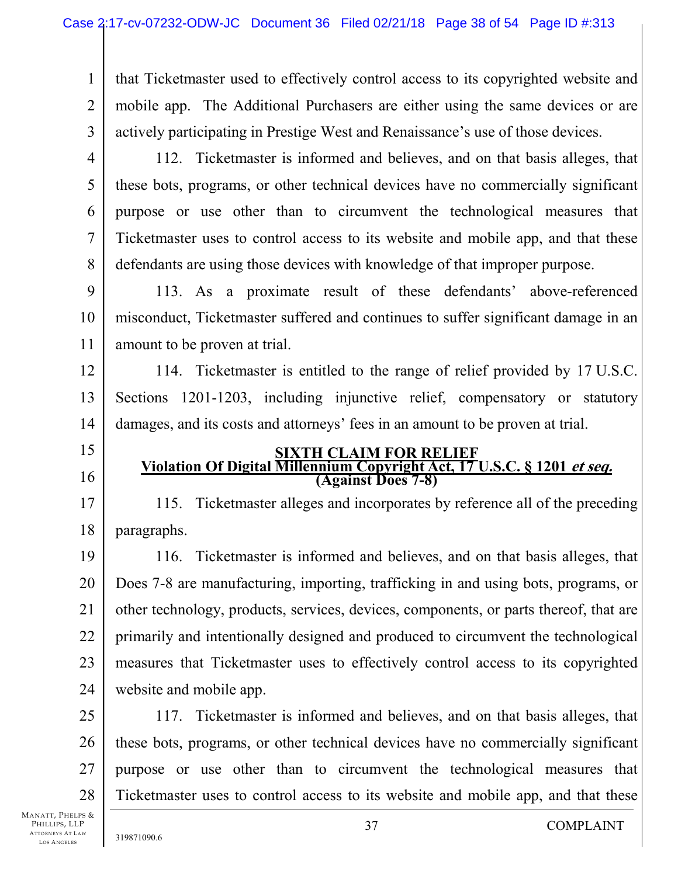1 2 3 that Ticketmaster used to effectively control access to its copyrighted website and mobile app. The Additional Purchasers are either using the same devices or are actively participating in Prestige West and Renaissance's use of those devices.

4

5

6

7

8

15

16

17

18

112. Ticketmaster is informed and believes, and on that basis alleges, that these bots, programs, or other technical devices have no commercially significant purpose or use other than to circumvent the technological measures that Ticketmaster uses to control access to its website and mobile app, and that these defendants are using those devices with knowledge of that improper purpose.

9 10 11 113. As a proximate result of these defendants' above-referenced misconduct, Ticketmaster suffered and continues to suffer significant damage in an amount to be proven at trial.

12 13 14 114. Ticketmaster is entitled to the range of relief provided by 17 U.S.C. Sections 1201-1203, including injunctive relief, compensatory or statutory damages, and its costs and attorneys' fees in an amount to be proven at trial.

# **SIXTH CLAIM FOR RELIEF Violation Of Digital Millennium Copyright Act, 17 U.S.C. § 1201 et seq. (Against Does 7-8)**

115. Ticketmaster alleges and incorporates by reference all of the preceding paragraphs.

19 20 21 22 23 24 116. Ticketmaster is informed and believes, and on that basis alleges, that Does 7-8 are manufacturing, importing, trafficking in and using bots, programs, or other technology, products, services, devices, components, or parts thereof, that are primarily and intentionally designed and produced to circumvent the technological measures that Ticketmaster uses to effectively control access to its copyrighted website and mobile app.

25 26 27 28 117. Ticketmaster is informed and believes, and on that basis alleges, that these bots, programs, or other technical devices have no commercially significant purpose or use other than to circumvent the technological measures that Ticketmaster uses to control access to its website and mobile app, and that these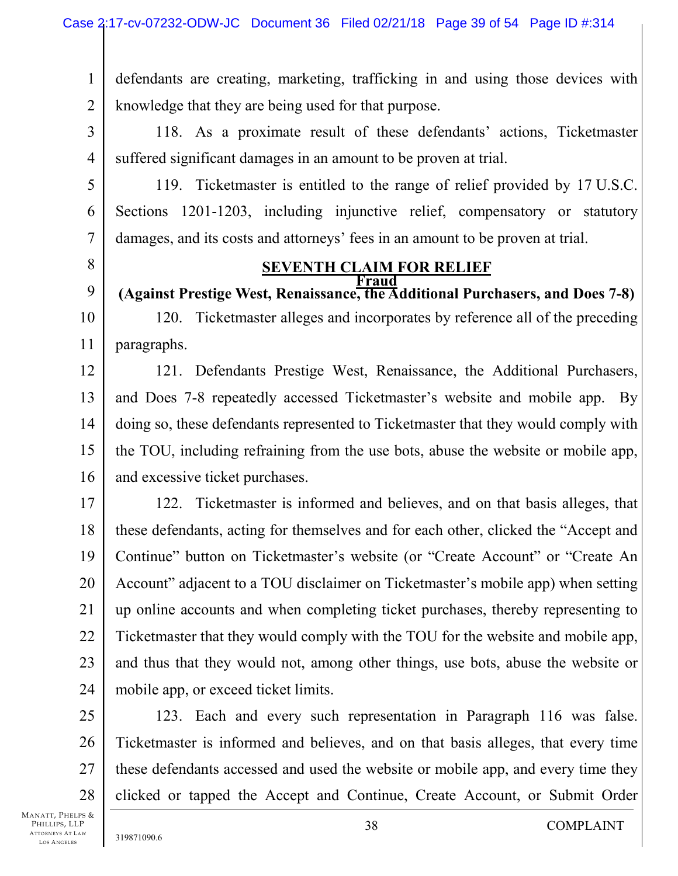1 2 defendants are creating, marketing, trafficking in and using those devices with knowledge that they are being used for that purpose.

3 4 118. As a proximate result of these defendants' actions, Ticketmaster suffered significant damages in an amount to be proven at trial.

119. Ticketmaster is entitled to the range of relief provided by 17 U.S.C. Sections 1201-1203, including injunctive relief, compensatory or statutory damages, and its costs and attorneys' fees in an amount to be proven at trial.

8

5

6

7

#### **SEVENTH CLAIM FOR RELIEF Fraud**

9 10 11 **(Against Prestige West, Renaissance, the Additional Purchasers, and Does 7-8)**  120. Ticketmaster alleges and incorporates by reference all of the preceding paragraphs.

12 13 14 15 16 121. Defendants Prestige West, Renaissance, the Additional Purchasers, and Does 7-8 repeatedly accessed Ticketmaster's website and mobile app. By doing so, these defendants represented to Ticketmaster that they would comply with the TOU, including refraining from the use bots, abuse the website or mobile app, and excessive ticket purchases.

17 18 19 20 21 22 23 24 122. Ticketmaster is informed and believes, and on that basis alleges, that these defendants, acting for themselves and for each other, clicked the "Accept and Continue" button on Ticketmaster's website (or "Create Account" or "Create An Account" adjacent to a TOU disclaimer on Ticketmaster's mobile app) when setting up online accounts and when completing ticket purchases, thereby representing to Ticketmaster that they would comply with the TOU for the website and mobile app, and thus that they would not, among other things, use bots, abuse the website or mobile app, or exceed ticket limits.

25 26 27 28 123. Each and every such representation in Paragraph 116 was false. Ticketmaster is informed and believes, and on that basis alleges, that every time these defendants accessed and used the website or mobile app, and every time they clicked or tapped the Accept and Continue, Create Account, or Submit Order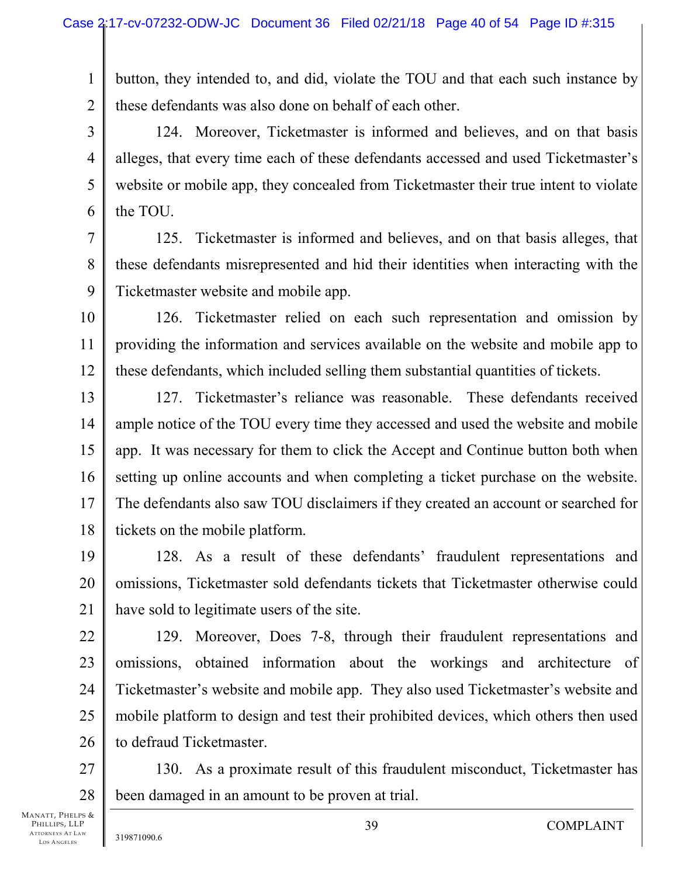1 2 button, they intended to, and did, violate the TOU and that each such instance by these defendants was also done on behalf of each other.

3 4 124. Moreover, Ticketmaster is informed and believes, and on that basis alleges, that every time each of these defendants accessed and used Ticketmaster's website or mobile app, they concealed from Ticketmaster their true intent to violate the TOU.

7 8 9 125. Ticketmaster is informed and believes, and on that basis alleges, that these defendants misrepresented and hid their identities when interacting with the Ticketmaster website and mobile app.

10 11 12 126. Ticketmaster relied on each such representation and omission by providing the information and services available on the website and mobile app to these defendants, which included selling them substantial quantities of tickets.

13 14 15 16 17 18 127. Ticketmaster's reliance was reasonable. These defendants received ample notice of the TOU every time they accessed and used the website and mobile app. It was necessary for them to click the Accept and Continue button both when setting up online accounts and when completing a ticket purchase on the website. The defendants also saw TOU disclaimers if they created an account or searched for tickets on the mobile platform.

19 20 21 128. As a result of these defendants' fraudulent representations and omissions, Ticketmaster sold defendants tickets that Ticketmaster otherwise could have sold to legitimate users of the site.

22 23 24 25 26 129. Moreover, Does 7-8, through their fraudulent representations and omissions, obtained information about the workings and architecture of Ticketmaster's website and mobile app. They also used Ticketmaster's website and mobile platform to design and test their prohibited devices, which others then used to defraud Ticketmaster.

27 28 130. As a proximate result of this fraudulent misconduct, Ticketmaster has been damaged in an amount to be proven at trial.

5

6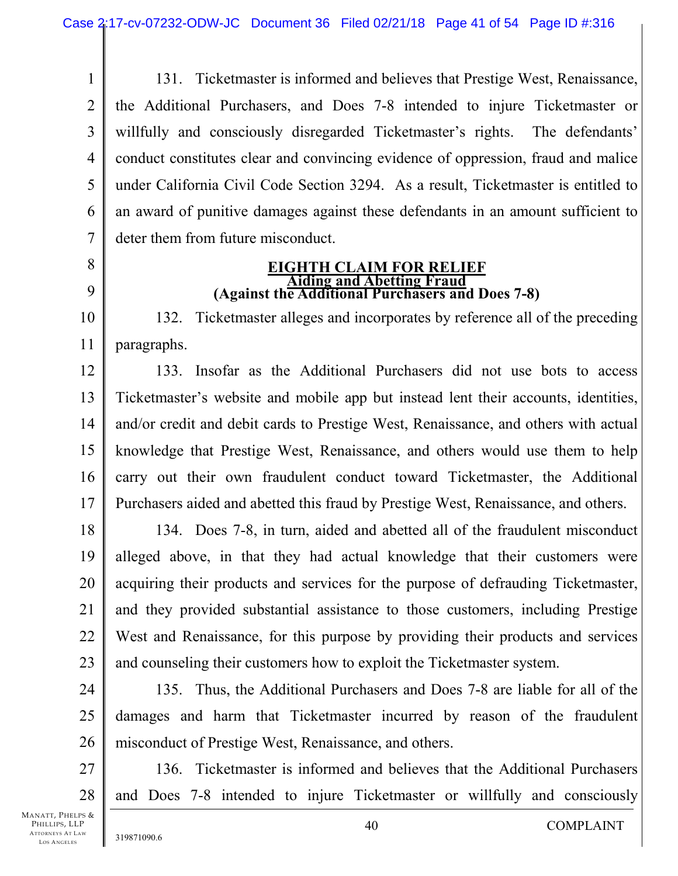1 2 3 4 5 6 7 131. Ticketmaster is informed and believes that Prestige West, Renaissance, the Additional Purchasers, and Does 7-8 intended to injure Ticketmaster or willfully and consciously disregarded Ticketmaster's rights. The defendants' conduct constitutes clear and convincing evidence of oppression, fraud and malice under California Civil Code Section 3294. As a result, Ticketmaster is entitled to an award of punitive damages against these defendants in an amount sufficient to deter them from future misconduct.

- 8
- 9

# **EIGHTH CLAIM FOR RELIEF (Against the Additional Purchasers and Does 7-8)**

10 11 132. Ticketmaster alleges and incorporates by reference all of the preceding paragraphs.

12 13 14 15 16 17 133. Insofar as the Additional Purchasers did not use bots to access Ticketmaster's website and mobile app but instead lent their accounts, identities, and/or credit and debit cards to Prestige West, Renaissance, and others with actual knowledge that Prestige West, Renaissance, and others would use them to help carry out their own fraudulent conduct toward Ticketmaster, the Additional Purchasers aided and abetted this fraud by Prestige West, Renaissance, and others.

18 19 20 21 22 23 134. Does 7-8, in turn, aided and abetted all of the fraudulent misconduct alleged above, in that they had actual knowledge that their customers were acquiring their products and services for the purpose of defrauding Ticketmaster, and they provided substantial assistance to those customers, including Prestige West and Renaissance, for this purpose by providing their products and services and counseling their customers how to exploit the Ticketmaster system.

24 25 26 135. Thus, the Additional Purchasers and Does 7-8 are liable for all of the damages and harm that Ticketmaster incurred by reason of the fraudulent misconduct of Prestige West, Renaissance, and others.

27 28 136. Ticketmaster is informed and believes that the Additional Purchasers and Does 7-8 intended to injure Ticketmaster or willfully and consciously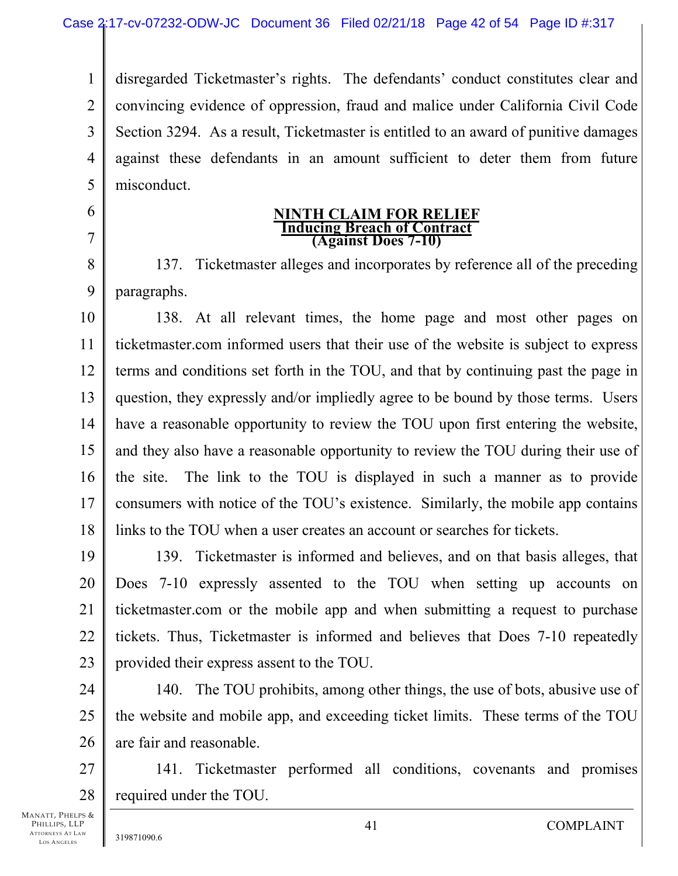1 2 3 4 5 disregarded Ticketmaster's rights. The defendants' conduct constitutes clear and convincing evidence of oppression, fraud and malice under California Civil Code Section 3294. As a result, Ticketmaster is entitled to an award of punitive damages against these defendants in an amount sufficient to deter them from future misconduct.

# **NINTH CLAIM FOR RELIEF Inducing Breach of Contract (Against Does 7-10)**

8 9 137. Ticketmaster alleges and incorporates by reference all of the preceding paragraphs.

10 11 12 13 14 15 16 17 18 138. At all relevant times, the home page and most other pages on ticketmaster.com informed users that their use of the website is subject to express terms and conditions set forth in the TOU, and that by continuing past the page in question, they expressly and/or impliedly agree to be bound by those terms. Users have a reasonable opportunity to review the TOU upon first entering the website, and they also have a reasonable opportunity to review the TOU during their use of the site. The link to the TOU is displayed in such a manner as to provide consumers with notice of the TOU's existence. Similarly, the mobile app contains links to the TOU when a user creates an account or searches for tickets.

19 20 21 22 23 139. Ticketmaster is informed and believes, and on that basis alleges, that Does 7-10 expressly assented to the TOU when setting up accounts on ticketmaster.com or the mobile app and when submitting a request to purchase tickets. Thus, Ticketmaster is informed and believes that Does 7-10 repeatedly provided their express assent to the TOU.

24 25 26 140. The TOU prohibits, among other things, the use of bots, abusive use of the website and mobile app, and exceeding ticket limits. These terms of the TOU are fair and reasonable.

27 28 141. Ticketmaster performed all conditions, covenants and promises required under the TOU.

MANATT, PHELPS & PHILLIPS, LLP ATTORNEYS AT LAW LOS A NGELES

6

7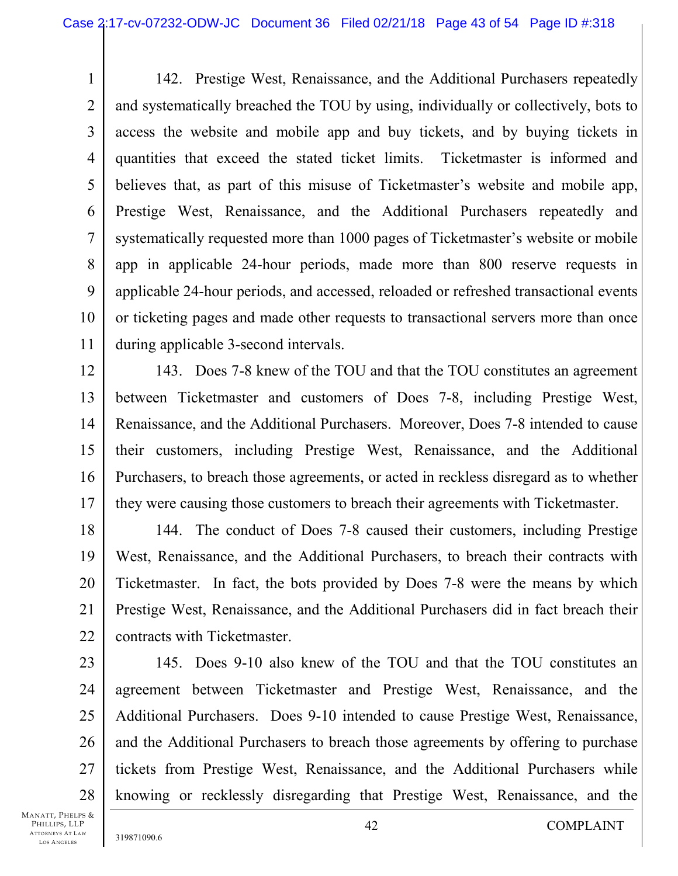1 2 3 4 5 6 7 8 9 10 11 142. Prestige West, Renaissance, and the Additional Purchasers repeatedly and systematically breached the TOU by using, individually or collectively, bots to access the website and mobile app and buy tickets, and by buying tickets in quantities that exceed the stated ticket limits. Ticketmaster is informed and believes that, as part of this misuse of Ticketmaster's website and mobile app, Prestige West, Renaissance, and the Additional Purchasers repeatedly and systematically requested more than 1000 pages of Ticketmaster's website or mobile app in applicable 24-hour periods, made more than 800 reserve requests in applicable 24-hour periods, and accessed, reloaded or refreshed transactional events or ticketing pages and made other requests to transactional servers more than once during applicable 3-second intervals.

12 13 14 15 16 17 143. Does 7-8 knew of the TOU and that the TOU constitutes an agreement between Ticketmaster and customers of Does 7-8, including Prestige West, Renaissance, and the Additional Purchasers. Moreover, Does 7-8 intended to cause their customers, including Prestige West, Renaissance, and the Additional Purchasers, to breach those agreements, or acted in reckless disregard as to whether they were causing those customers to breach their agreements with Ticketmaster.

18 19 20 21 22 144. The conduct of Does 7-8 caused their customers, including Prestige West, Renaissance, and the Additional Purchasers, to breach their contracts with Ticketmaster. In fact, the bots provided by Does 7-8 were the means by which Prestige West, Renaissance, and the Additional Purchasers did in fact breach their contracts with Ticketmaster.

23 24 25 26 27 28 145. Does 9-10 also knew of the TOU and that the TOU constitutes an agreement between Ticketmaster and Prestige West, Renaissance, and the Additional Purchasers. Does 9-10 intended to cause Prestige West, Renaissance, and the Additional Purchasers to breach those agreements by offering to purchase tickets from Prestige West, Renaissance, and the Additional Purchasers while knowing or recklessly disregarding that Prestige West, Renaissance, and the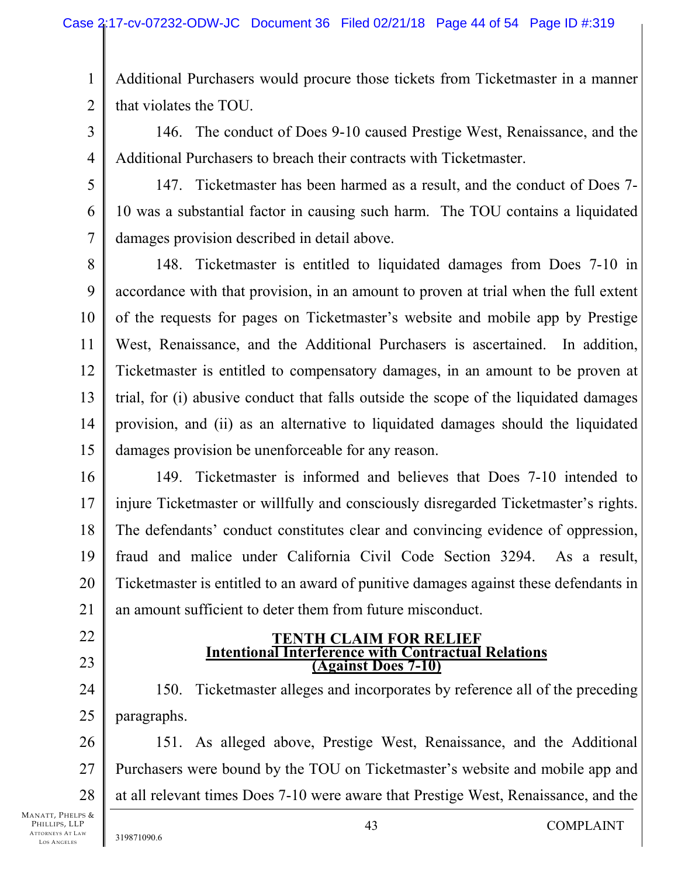1 2 Additional Purchasers would procure those tickets from Ticketmaster in a manner that violates the TOU.

3

146. The conduct of Does 9-10 caused Prestige West, Renaissance, and the Additional Purchasers to breach their contracts with Ticketmaster.

4 5

6

7

147. Ticketmaster has been harmed as a result, and the conduct of Does 7- 10 was a substantial factor in causing such harm. The TOU contains a liquidated damages provision described in detail above.

8 9 10 11 12 13 14 15 148. Ticketmaster is entitled to liquidated damages from Does 7-10 in accordance with that provision, in an amount to proven at trial when the full extent of the requests for pages on Ticketmaster's website and mobile app by Prestige West, Renaissance, and the Additional Purchasers is ascertained. In addition, Ticketmaster is entitled to compensatory damages, in an amount to be proven at trial, for (i) abusive conduct that falls outside the scope of the liquidated damages provision, and (ii) as an alternative to liquidated damages should the liquidated damages provision be unenforceable for any reason.

16 17 18 19 20 21 149. Ticketmaster is informed and believes that Does 7-10 intended to injure Ticketmaster or willfully and consciously disregarded Ticketmaster's rights. The defendants' conduct constitutes clear and convincing evidence of oppression, fraud and malice under California Civil Code Section 3294. As a result, Ticketmaster is entitled to an award of punitive damages against these defendants in an amount sufficient to deter them from future misconduct.

- 22
- 23

#### **TENTH CLAIM FOR RELIEF Intentional Interference with Contractual Relations (Against Does 7-10)**

24 25 150. Ticketmaster alleges and incorporates by reference all of the preceding paragraphs.

26 27 28 151. As alleged above, Prestige West, Renaissance, and the Additional Purchasers were bound by the TOU on Ticketmaster's website and mobile app and at all relevant times Does 7-10 were aware that Prestige West, Renaissance, and the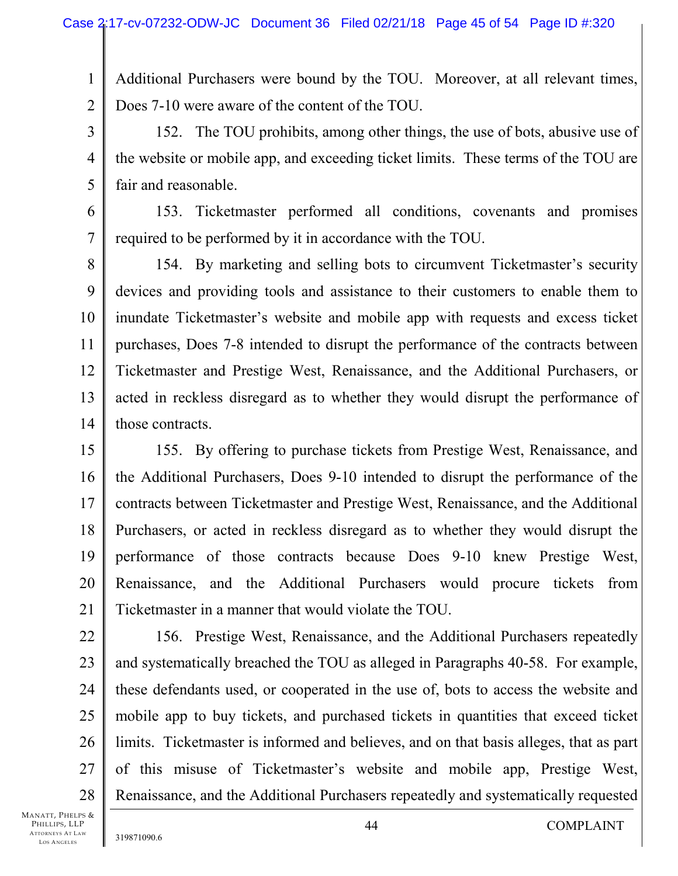Additional Purchasers were bound by the TOU. Moreover, at all relevant times, Does 7-10 were aware of the content of the TOU.

3 4 5 152. The TOU prohibits, among other things, the use of bots, abusive use of the website or mobile app, and exceeding ticket limits. These terms of the TOU are fair and reasonable.

6 7 153. Ticketmaster performed all conditions, covenants and promises required to be performed by it in accordance with the TOU.

8 9 10 11 12 13 14 154. By marketing and selling bots to circumvent Ticketmaster's security devices and providing tools and assistance to their customers to enable them to inundate Ticketmaster's website and mobile app with requests and excess ticket purchases, Does 7-8 intended to disrupt the performance of the contracts between Ticketmaster and Prestige West, Renaissance, and the Additional Purchasers, or acted in reckless disregard as to whether they would disrupt the performance of those contracts.

15 16 17 18 19 20 21 155. By offering to purchase tickets from Prestige West, Renaissance, and the Additional Purchasers, Does 9-10 intended to disrupt the performance of the contracts between Ticketmaster and Prestige West, Renaissance, and the Additional Purchasers, or acted in reckless disregard as to whether they would disrupt the performance of those contracts because Does 9-10 knew Prestige West, Renaissance, and the Additional Purchasers would procure tickets from Ticketmaster in a manner that would violate the TOU.

22 23 24 25 26 27 28 156. Prestige West, Renaissance, and the Additional Purchasers repeatedly and systematically breached the TOU as alleged in Paragraphs 40-58. For example, these defendants used, or cooperated in the use of, bots to access the website and mobile app to buy tickets, and purchased tickets in quantities that exceed ticket limits. Ticketmaster is informed and believes, and on that basis alleges, that as part of this misuse of Ticketmaster's website and mobile app, Prestige West, Renaissance, and the Additional Purchasers repeatedly and systematically requested

MANATT, PHELPS & PHILLIPS, LLP ATTORNEYS AT LAW LOS A NGELES

1

2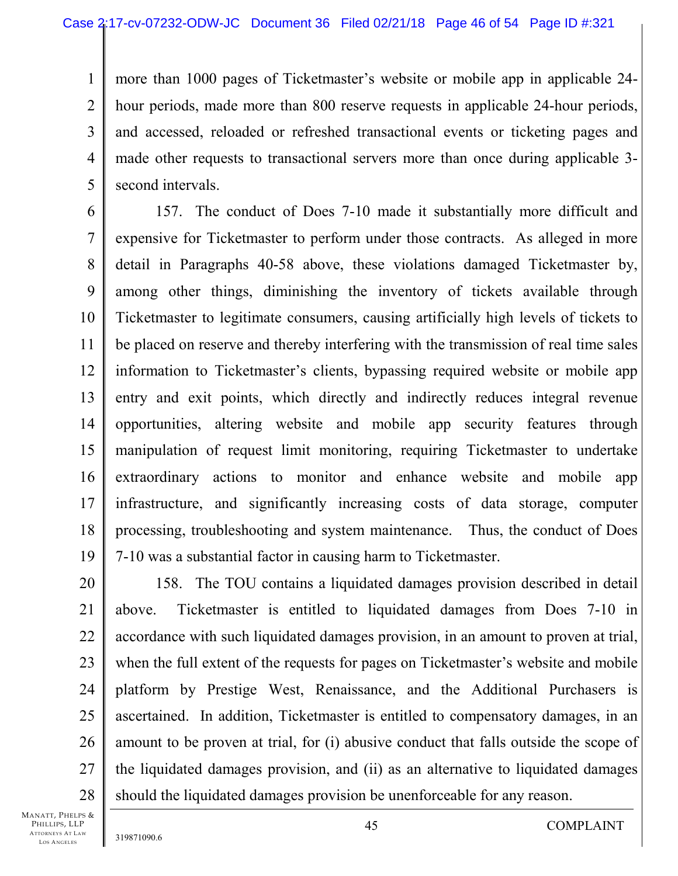1 2 3 4 5 more than 1000 pages of Ticketmaster's website or mobile app in applicable 24 hour periods, made more than 800 reserve requests in applicable 24-hour periods, and accessed, reloaded or refreshed transactional events or ticketing pages and made other requests to transactional servers more than once during applicable 3 second intervals.

6 7 8 9 10 11 12 13 14 15 16 17 18 19 157. The conduct of Does 7-10 made it substantially more difficult and expensive for Ticketmaster to perform under those contracts. As alleged in more detail in Paragraphs 40-58 above, these violations damaged Ticketmaster by, among other things, diminishing the inventory of tickets available through Ticketmaster to legitimate consumers, causing artificially high levels of tickets to be placed on reserve and thereby interfering with the transmission of real time sales information to Ticketmaster's clients, bypassing required website or mobile app entry and exit points, which directly and indirectly reduces integral revenue opportunities, altering website and mobile app security features through manipulation of request limit monitoring, requiring Ticketmaster to undertake extraordinary actions to monitor and enhance website and mobile app infrastructure, and significantly increasing costs of data storage, computer processing, troubleshooting and system maintenance. Thus, the conduct of Does 7-10 was a substantial factor in causing harm to Ticketmaster.

20 21 22 23 24 25 26 27 28 158. The TOU contains a liquidated damages provision described in detail above. Ticketmaster is entitled to liquidated damages from Does 7-10 in accordance with such liquidated damages provision, in an amount to proven at trial, when the full extent of the requests for pages on Ticketmaster's website and mobile platform by Prestige West, Renaissance, and the Additional Purchasers is ascertained. In addition, Ticketmaster is entitled to compensatory damages, in an amount to be proven at trial, for (i) abusive conduct that falls outside the scope of the liquidated damages provision, and (ii) as an alternative to liquidated damages should the liquidated damages provision be unenforceable for any reason.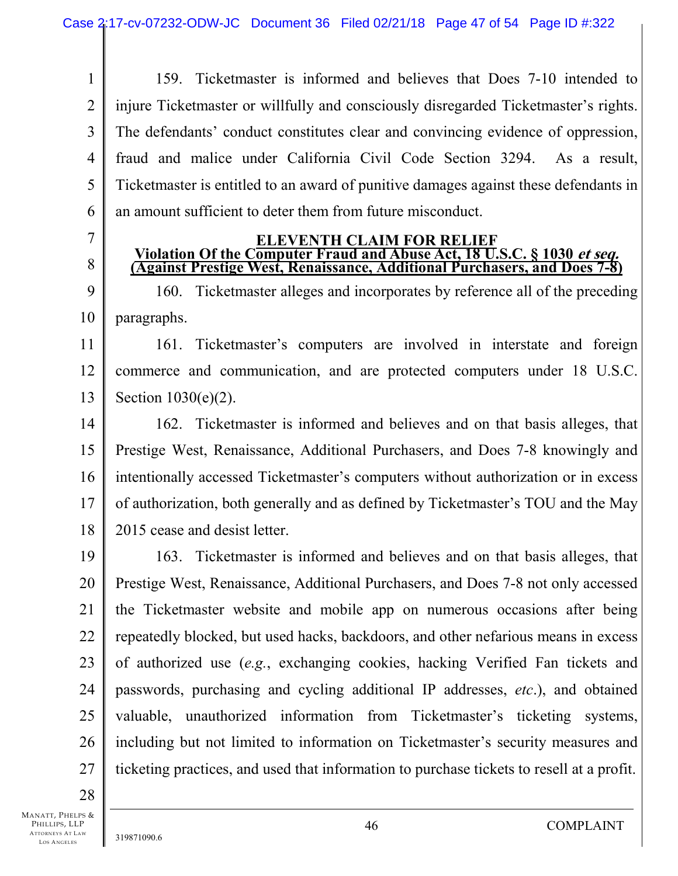1 2 3 4 5 6 159. Ticketmaster is informed and believes that Does 7-10 intended to injure Ticketmaster or willfully and consciously disregarded Ticketmaster's rights. The defendants' conduct constitutes clear and convincing evidence of oppression, fraud and malice under California Civil Code Section 3294. As a result, Ticketmaster is entitled to an award of punitive damages against these defendants in an amount sufficient to deter them from future misconduct.

7

8

**ELEVENTH CLAIM FOR RELIEF Violation Of the Computer Fraud and Abuse Act, 18 U.S.C. § 1030 et seq. (Against Prestige West, Renaissance, Additional Purchasers, and Does 7-8)** 

9 10 160. Ticketmaster alleges and incorporates by reference all of the preceding paragraphs.

11 12 13 161. Ticketmaster's computers are involved in interstate and foreign commerce and communication, and are protected computers under 18 U.S.C. Section 1030(e)(2).

14 15 16 17 18 162. Ticketmaster is informed and believes and on that basis alleges, that Prestige West, Renaissance, Additional Purchasers, and Does 7-8 knowingly and intentionally accessed Ticketmaster's computers without authorization or in excess of authorization, both generally and as defined by Ticketmaster's TOU and the May 2015 cease and desist letter.

19 20 21 22 23 24 25 26 27 163. Ticketmaster is informed and believes and on that basis alleges, that Prestige West, Renaissance, Additional Purchasers, and Does 7-8 not only accessed the Ticketmaster website and mobile app on numerous occasions after being repeatedly blocked, but used hacks, backdoors, and other nefarious means in excess of authorized use (*e.g.*, exchanging cookies, hacking Verified Fan tickets and passwords, purchasing and cycling additional IP addresses, *etc*.), and obtained valuable, unauthorized information from Ticketmaster's ticketing systems, including but not limited to information on Ticketmaster's security measures and ticketing practices, and used that information to purchase tickets to resell at a profit.

28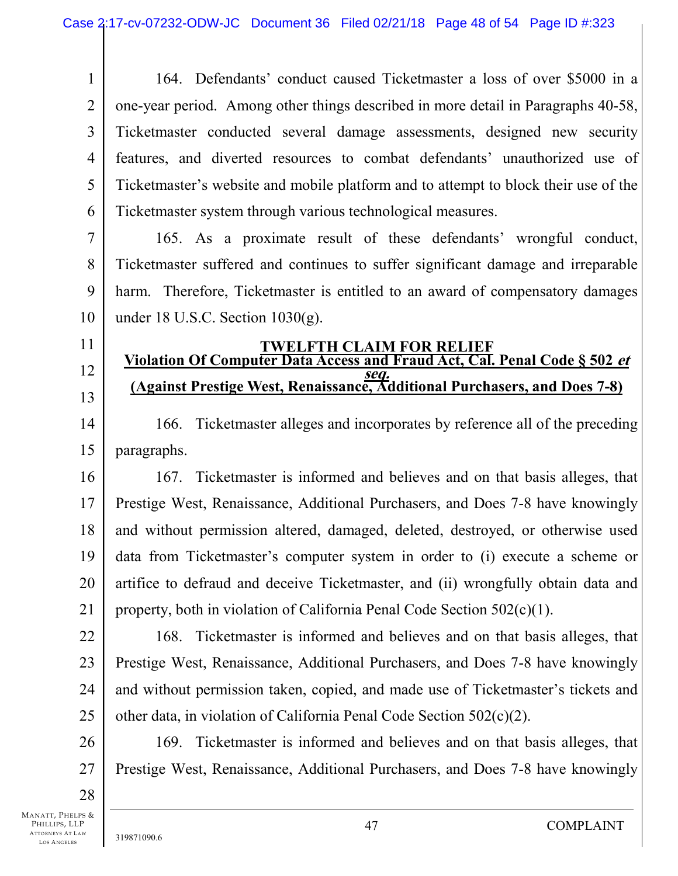1 2 3 4 5 6 164. Defendants' conduct caused Ticketmaster a loss of over \$5000 in a one-year period. Among other things described in more detail in Paragraphs 40-58, Ticketmaster conducted several damage assessments, designed new security features, and diverted resources to combat defendants' unauthorized use of Ticketmaster's website and mobile platform and to attempt to block their use of the Ticketmaster system through various technological measures.

7 8 9 10 165. As a proximate result of these defendants' wrongful conduct, Ticketmaster suffered and continues to suffer significant damage and irreparable harm. Therefore, Ticketmaster is entitled to an award of compensatory damages under 18 U.S.C. Section 1030(g).

# 11

12 13

## **TWELFTH CLAIM FOR RELIEF Violation Of Computer Data Access and Fraud Act, Cal. Penal Code § 502 et seq. (Against Prestige West, Renaissance, Additional Purchasers, and Does 7-8)**

14 15 166. Ticketmaster alleges and incorporates by reference all of the preceding paragraphs.

16 17 18 19 20 21 167. Ticketmaster is informed and believes and on that basis alleges, that Prestige West, Renaissance, Additional Purchasers, and Does 7-8 have knowingly and without permission altered, damaged, deleted, destroyed, or otherwise used data from Ticketmaster's computer system in order to (i) execute a scheme or artifice to defraud and deceive Ticketmaster, and (ii) wrongfully obtain data and property, both in violation of California Penal Code Section 502(c)(1).

22 23 24 25 168. Ticketmaster is informed and believes and on that basis alleges, that Prestige West, Renaissance, Additional Purchasers, and Does 7-8 have knowingly and without permission taken, copied, and made use of Ticketmaster's tickets and other data, in violation of California Penal Code Section 502(c)(2).

26 27 169. Ticketmaster is informed and believes and on that basis alleges, that Prestige West, Renaissance, Additional Purchasers, and Does 7-8 have knowingly

28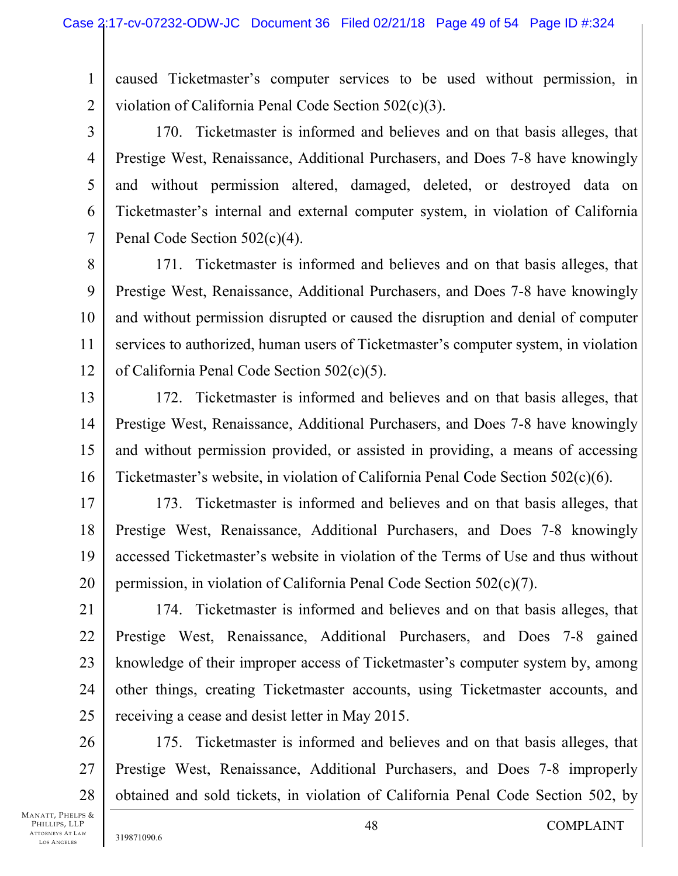1 2 caused Ticketmaster's computer services to be used without permission, in violation of California Penal Code Section 502(c)(3).

3

4

5

6

7

170. Ticketmaster is informed and believes and on that basis alleges, that Prestige West, Renaissance, Additional Purchasers, and Does 7-8 have knowingly and without permission altered, damaged, deleted, or destroyed data on Ticketmaster's internal and external computer system, in violation of California Penal Code Section 502(c)(4).

8 9 10 11 12 171. Ticketmaster is informed and believes and on that basis alleges, that Prestige West, Renaissance, Additional Purchasers, and Does 7-8 have knowingly and without permission disrupted or caused the disruption and denial of computer services to authorized, human users of Ticketmaster's computer system, in violation of California Penal Code Section 502(c)(5).

13 14 15 16 172. Ticketmaster is informed and believes and on that basis alleges, that Prestige West, Renaissance, Additional Purchasers, and Does 7-8 have knowingly and without permission provided, or assisted in providing, a means of accessing Ticketmaster's website, in violation of California Penal Code Section 502(c)(6).

17 18 19 20 173. Ticketmaster is informed and believes and on that basis alleges, that Prestige West, Renaissance, Additional Purchasers, and Does 7-8 knowingly accessed Ticketmaster's website in violation of the Terms of Use and thus without permission, in violation of California Penal Code Section 502(c)(7).

21 22 23 24 25 174. Ticketmaster is informed and believes and on that basis alleges, that Prestige West, Renaissance, Additional Purchasers, and Does 7-8 gained knowledge of their improper access of Ticketmaster's computer system by, among other things, creating Ticketmaster accounts, using Ticketmaster accounts, and receiving a cease and desist letter in May 2015.

26 27 28 175. Ticketmaster is informed and believes and on that basis alleges, that Prestige West, Renaissance, Additional Purchasers, and Does 7-8 improperly obtained and sold tickets, in violation of California Penal Code Section 502, by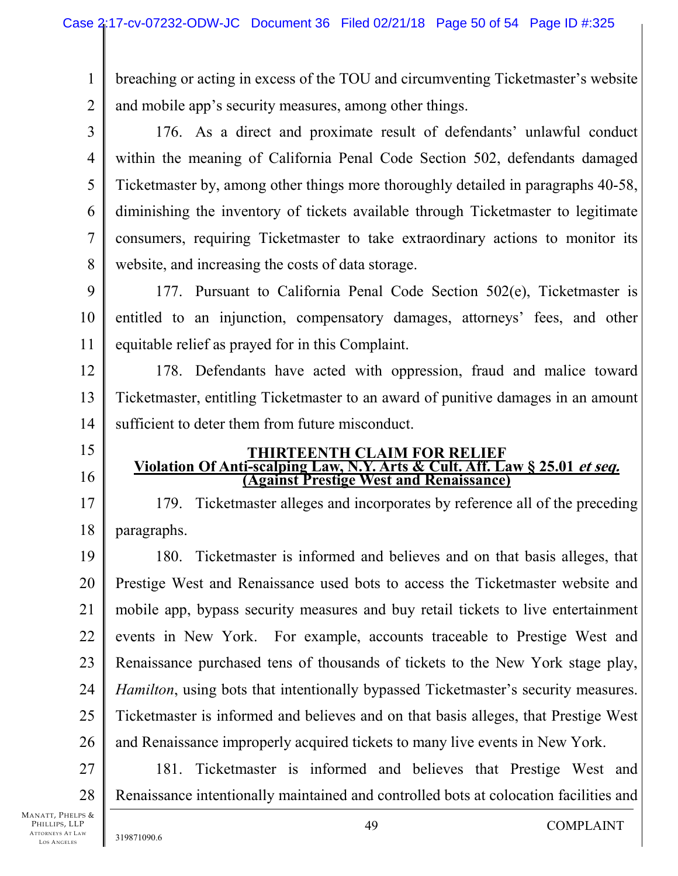1 2 breaching or acting in excess of the TOU and circumventing Ticketmaster's website and mobile app's security measures, among other things.

3

4

5

6

7

8

176. As a direct and proximate result of defendants' unlawful conduct within the meaning of California Penal Code Section 502, defendants damaged Ticketmaster by, among other things more thoroughly detailed in paragraphs 40-58, diminishing the inventory of tickets available through Ticketmaster to legitimate consumers, requiring Ticketmaster to take extraordinary actions to monitor its website, and increasing the costs of data storage.

9 10 11 177. Pursuant to California Penal Code Section 502(e), Ticketmaster is entitled to an injunction, compensatory damages, attorneys' fees, and other equitable relief as prayed for in this Complaint.

12 13 14 178. Defendants have acted with oppression, fraud and malice toward Ticketmaster, entitling Ticketmaster to an award of punitive damages in an amount sufficient to deter them from future misconduct.

- 15
- 16

17

18

# **THIRTEENTH CLAIM FOR RELIEF Violation Of Anti-scalping Law, N.Y. Arts & Cult. Aff. Law § 25.01 et seq. (Against Prestige West and Renaissance)**

179. Ticketmaster alleges and incorporates by reference all of the preceding paragraphs.

19 20 21 22 23 24 25 26 180. Ticketmaster is informed and believes and on that basis alleges, that Prestige West and Renaissance used bots to access the Ticketmaster website and mobile app, bypass security measures and buy retail tickets to live entertainment events in New York. For example, accounts traceable to Prestige West and Renaissance purchased tens of thousands of tickets to the New York stage play, *Hamilton*, using bots that intentionally bypassed Ticketmaster's security measures. Ticketmaster is informed and believes and on that basis alleges, that Prestige West and Renaissance improperly acquired tickets to many live events in New York.

27 28 181. Ticketmaster is informed and believes that Prestige West and Renaissance intentionally maintained and controlled bots at colocation facilities and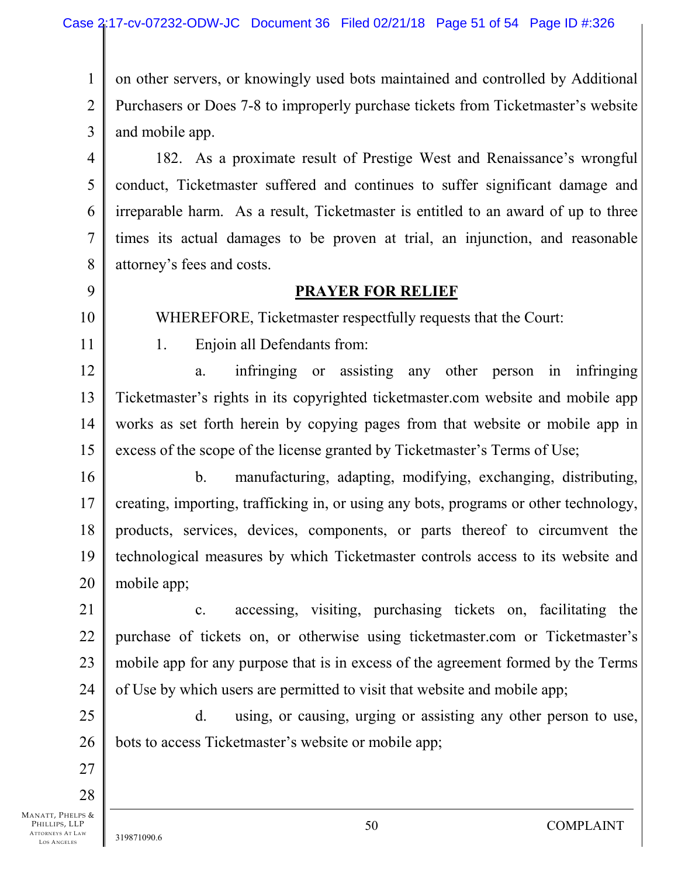1 2 3 on other servers, or knowingly used bots maintained and controlled by Additional Purchasers or Does 7-8 to improperly purchase tickets from Ticketmaster's website and mobile app.

4 5 6 7 8 182. As a proximate result of Prestige West and Renaissance's wrongful conduct, Ticketmaster suffered and continues to suffer significant damage and irreparable harm. As a result, Ticketmaster is entitled to an award of up to three times its actual damages to be proven at trial, an injunction, and reasonable attorney's fees and costs.

## **PRAYER FOR RELIEF**

WHEREFORE, Ticketmaster respectfully requests that the Court:

11

10

9

1. Enjoin all Defendants from:

12 13 14 15 a. infringing or assisting any other person in infringing Ticketmaster's rights in its copyrighted ticketmaster.com website and mobile app works as set forth herein by copying pages from that website or mobile app in excess of the scope of the license granted by Ticketmaster's Terms of Use;

16 17 18 19 20 b. manufacturing, adapting, modifying, exchanging, distributing, creating, importing, trafficking in, or using any bots, programs or other technology, products, services, devices, components, or parts thereof to circumvent the technological measures by which Ticketmaster controls access to its website and mobile app;

21 22 23 24 c. accessing, visiting, purchasing tickets on, facilitating the purchase of tickets on, or otherwise using ticketmaster.com or Ticketmaster's mobile app for any purpose that is in excess of the agreement formed by the Terms of Use by which users are permitted to visit that website and mobile app;

25 26 d. using, or causing, urging or assisting any other person to use, bots to access Ticketmaster's website or mobile app;

27 28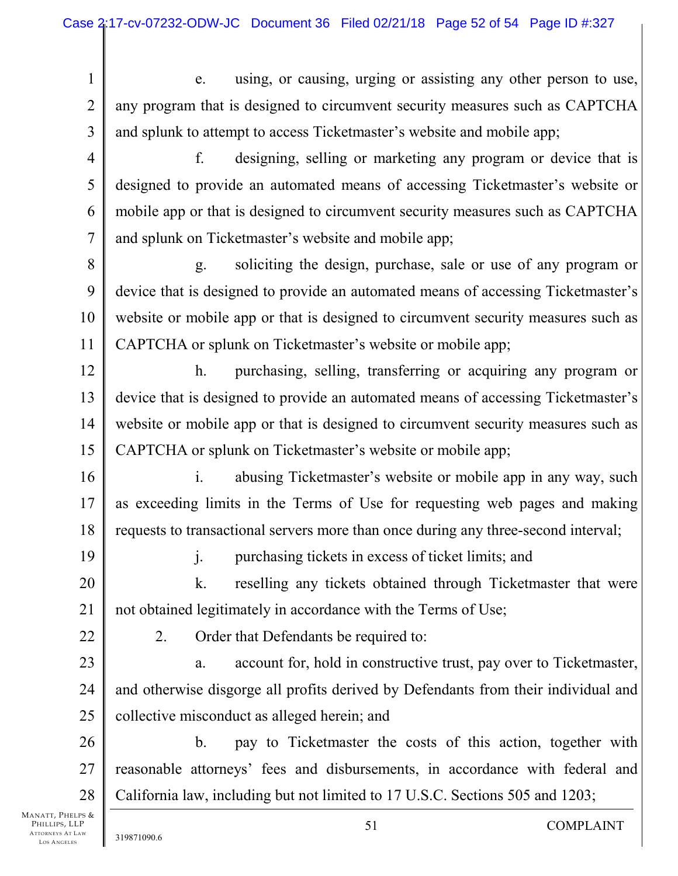- 1 2 3 e. using, or causing, urging or assisting any other person to use, any program that is designed to circumvent security measures such as CAPTCHA and splunk to attempt to access Ticketmaster's website and mobile app;
- 4 5 6 7 f. designing, selling or marketing any program or device that is designed to provide an automated means of accessing Ticketmaster's website or mobile app or that is designed to circumvent security measures such as CAPTCHA and splunk on Ticketmaster's website and mobile app;
- 8 9 10 11 g. soliciting the design, purchase, sale or use of any program or device that is designed to provide an automated means of accessing Ticketmaster's website or mobile app or that is designed to circumvent security measures such as CAPTCHA or splunk on Ticketmaster's website or mobile app;
- 12 13 14 15 h. purchasing, selling, transferring or acquiring any program or device that is designed to provide an automated means of accessing Ticketmaster's website or mobile app or that is designed to circumvent security measures such as CAPTCHA or splunk on Ticketmaster's website or mobile app;
- 16 17 18 i. abusing Ticketmaster's website or mobile app in any way, such as exceeding limits in the Terms of Use for requesting web pages and making requests to transactional servers more than once during any three-second interval;
- 19
- j. purchasing tickets in excess of ticket limits; and
- 20 21 k. reselling any tickets obtained through Ticketmaster that were not obtained legitimately in accordance with the Terms of Use;
- 22
- 2. Order that Defendants be required to:
- 23 24 25 a. account for, hold in constructive trust, pay over to Ticketmaster, and otherwise disgorge all profits derived by Defendants from their individual and collective misconduct as alleged herein; and
- 26 27 28 b. pay to Ticketmaster the costs of this action, together with reasonable attorneys' fees and disbursements, in accordance with federal and California law, including but not limited to 17 U.S.C. Sections 505 and 1203;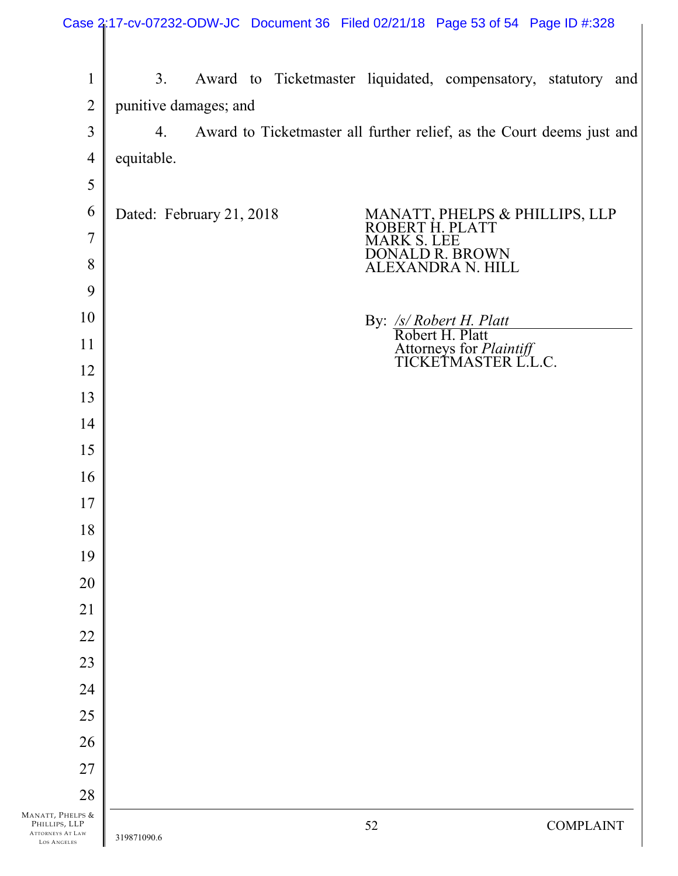|                                                                     |                          |  |                    | Case 2:17-cv-07232-ODW-JC Document 36 Filed 02/21/18 Page 53 of 54 Page ID #:328 |                  |
|---------------------------------------------------------------------|--------------------------|--|--------------------|----------------------------------------------------------------------------------|------------------|
| $\mathbf{1}$                                                        | 3.                       |  |                    | Award to Ticketmaster liquidated, compensatory, statutory and                    |                  |
| $\overline{2}$                                                      | punitive damages; and    |  |                    |                                                                                  |                  |
| 3                                                                   | 4.                       |  |                    | Award to Ticketmaster all further relief, as the Court deems just and            |                  |
| $\overline{4}$                                                      | equitable.               |  |                    |                                                                                  |                  |
| 5                                                                   |                          |  |                    |                                                                                  |                  |
| 6                                                                   | Dated: February 21, 2018 |  |                    | MANATT, PHELPS & PHILLIPS, LLP<br>ROBERT H. PLATT                                |                  |
| $\overline{7}$                                                      |                          |  | <b>MARK S. LEE</b> |                                                                                  |                  |
| 8                                                                   |                          |  |                    | DONALD R. BROWN<br>ALEXANDRA N. HILL                                             |                  |
| 9                                                                   |                          |  |                    |                                                                                  |                  |
| 10                                                                  |                          |  |                    | By: <u>/s/ Robert H. Platt</u><br>Robert H. Platt                                |                  |
| 11                                                                  |                          |  |                    | Attorneys for <i>Plaintiff</i><br>TICKETMASTER L.L.C.                            |                  |
| 12                                                                  |                          |  |                    |                                                                                  |                  |
| 13                                                                  |                          |  |                    |                                                                                  |                  |
| 14                                                                  |                          |  |                    |                                                                                  |                  |
| 15                                                                  |                          |  |                    |                                                                                  |                  |
| 16                                                                  |                          |  |                    |                                                                                  |                  |
| 17                                                                  |                          |  |                    |                                                                                  |                  |
| 18                                                                  |                          |  |                    |                                                                                  |                  |
| 19                                                                  |                          |  |                    |                                                                                  |                  |
| 20                                                                  |                          |  |                    |                                                                                  |                  |
| 21<br>22                                                            |                          |  |                    |                                                                                  |                  |
| 23                                                                  |                          |  |                    |                                                                                  |                  |
| 24                                                                  |                          |  |                    |                                                                                  |                  |
| 25                                                                  |                          |  |                    |                                                                                  |                  |
| 26                                                                  |                          |  |                    |                                                                                  |                  |
| 27                                                                  |                          |  |                    |                                                                                  |                  |
| 28                                                                  |                          |  |                    |                                                                                  |                  |
| MANATT, PHELPS &<br>PHILLIPS, LLP<br>ATTORNEYS AT LAW<br>OC ANCELES | 319871090.6              |  | 52                 |                                                                                  | <b>COMPLAINT</b> |

LOS A NGELES